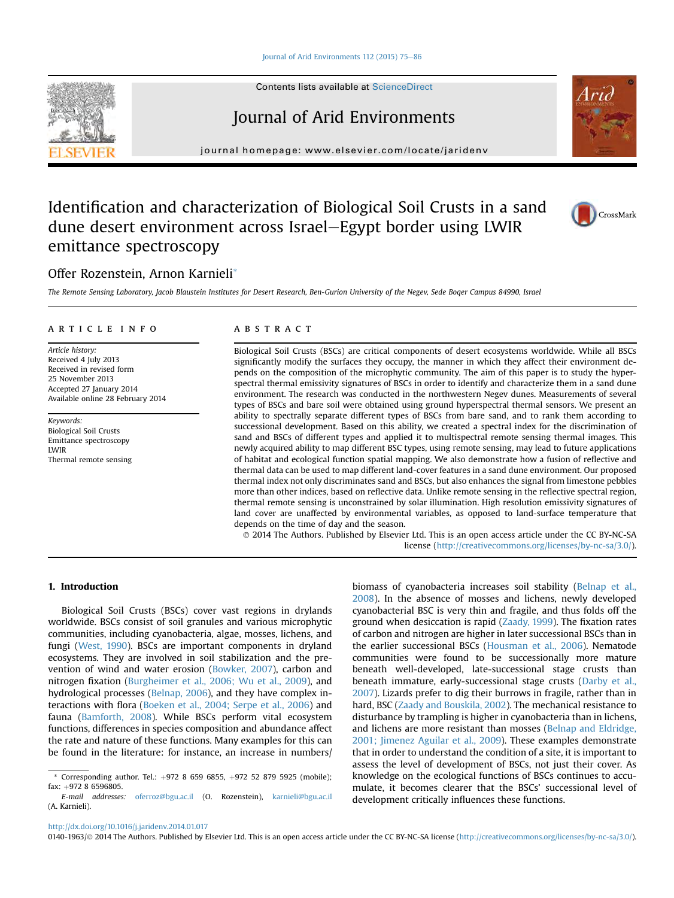[Journal of Arid Environments 112 \(2015\) 75](http://dx.doi.org/10.1016/j.jaridenv.2014.01.017)-[86](http://dx.doi.org/10.1016/j.jaridenv.2014.01.017)

Contents lists available at [ScienceDirect](www.sciencedirect.com/science/journal/01401963)

# Journal of Arid Environments

journal homepage: [www.elsevier.com/locate/jaridenv](http://www.elsevier.com/locate/jaridenv)

## Identification and characterization of Biological Soil Crusts in a sand dune desert environment across Israel–Egypt border using LWIR emittance spectroscopy

### Offer Rozenstein, Arnon Karnieli\*

The Remote Sensing Laboratory, Jacob Blaustein Institutes for Desert Research, Ben-Gurion University of the Negev, Sede Boqer Campus 84990, Israel

#### article info

Article history: Received 4 July 2013 Received in revised form 25 November 2013 Accepted 27 January 2014 Available online 28 February 2014

Keywords: Biological Soil Crusts Emittance spectroscopy **LWIR** Thermal remote sensing

#### **ABSTRACT**

Biological Soil Crusts (BSCs) are critical components of desert ecosystems worldwide. While all BSCs significantly modify the surfaces they occupy, the manner in which they affect their environment depends on the composition of the microphytic community. The aim of this paper is to study the hyperspectral thermal emissivity signatures of BSCs in order to identify and characterize them in a sand dune environment. The research was conducted in the northwestern Negev dunes. Measurements of several types of BSCs and bare soil were obtained using ground hyperspectral thermal sensors. We present an ability to spectrally separate different types of BSCs from bare sand, and to rank them according to successional development. Based on this ability, we created a spectral index for the discrimination of sand and BSCs of different types and applied it to multispectral remote sensing thermal images. This newly acquired ability to map different BSC types, using remote sensing, may lead to future applications of habitat and ecological function spatial mapping. We also demonstrate how a fusion of reflective and thermal data can be used to map different land-cover features in a sand dune environment. Our proposed thermal index not only discriminates sand and BSCs, but also enhances the signal from limestone pebbles more than other indices, based on reflective data. Unlike remote sensing in the reflective spectral region, thermal remote sensing is unconstrained by solar illumination. High resolution emissivity signatures of land cover are unaffected by environmental variables, as opposed to land-surface temperature that depends on the time of day and the season.

 2014 The Authors. Published by Elsevier Ltd. This is an open access article under the CC BY-NC-SA license [\(http://creativecommons.org/licenses/by-nc-sa/3.0/](http://creativecommons.org/licenses/by-nc-sa/3.0/)).

#### 1. Introduction

Biological Soil Crusts (BSCs) cover vast regions in drylands worldwide. BSCs consist of soil granules and various microphytic communities, including cyanobacteria, algae, mosses, lichens, and fungi [\(West, 1990](#page-11-0)). BSCs are important components in dryland ecosystems. They are involved in soil stabilization and the prevention of wind and water erosion ([Bowker, 2007\)](#page-10-0), carbon and nitrogen fixation [\(Burgheimer et al., 2006; Wu et al., 2009](#page-10-0)), and hydrological processes ([Belnap, 2006](#page-10-0)), and they have complex interactions with flora ([Boeken et al., 2004; Serpe et al., 2006](#page-10-0)) and fauna [\(Bamforth, 2008](#page-10-0)). While BSCs perform vital ecosystem functions, differences in species composition and abundance affect the rate and nature of these functions. Many examples for this can be found in the literature: for instance, an increase in numbers/

biomass of cyanobacteria increases soil stability [\(Belnap et al.,](#page-10-0) [2008\)](#page-10-0). In the absence of mosses and lichens, newly developed cyanobacterial BSC is very thin and fragile, and thus folds off the ground when desiccation is rapid [\(Zaady, 1999\)](#page-11-0). The fixation rates of carbon and nitrogen are higher in later successional BSCs than in the earlier successional BSCs ([Housman et al., 2006](#page-10-0)). Nematode communities were found to be successionally more mature beneath well-developed, late-successional stage crusts than beneath immature, early-successional stage crusts [\(Darby et al.,](#page-10-0) [2007\)](#page-10-0). Lizards prefer to dig their burrows in fragile, rather than in hard, BSC [\(Zaady and Bouskila, 2002](#page-11-0)). The mechanical resistance to disturbance by trampling is higher in cyanobacteria than in lichens, and lichens are more resistant than mosses ([Belnap and Eldridge,](#page-10-0) [2001; Jimenez Aguilar et al., 2009\)](#page-10-0). These examples demonstrate that in order to understand the condition of a site, it is important to assess the level of development of BSCs, not just their cover. As knowledge on the ecological functions of BSCs continues to accumulate, it becomes clearer that the BSCs' successional level of development critically influences these functions.









<sup>\*</sup> Corresponding author. Tel.:  $+972$  8 659 6855,  $+972$  52 879 5925 (mobile); fax:  $+972$  8 6596805.

E-mail addresses: [oferroz@bgu.ac.il](mailto:oferroz@bgu.ac.il) (O. Rozenstein), [karnieli@bgu.ac.il](mailto:karnieli@bgu.ac.il) (A. Karnieli).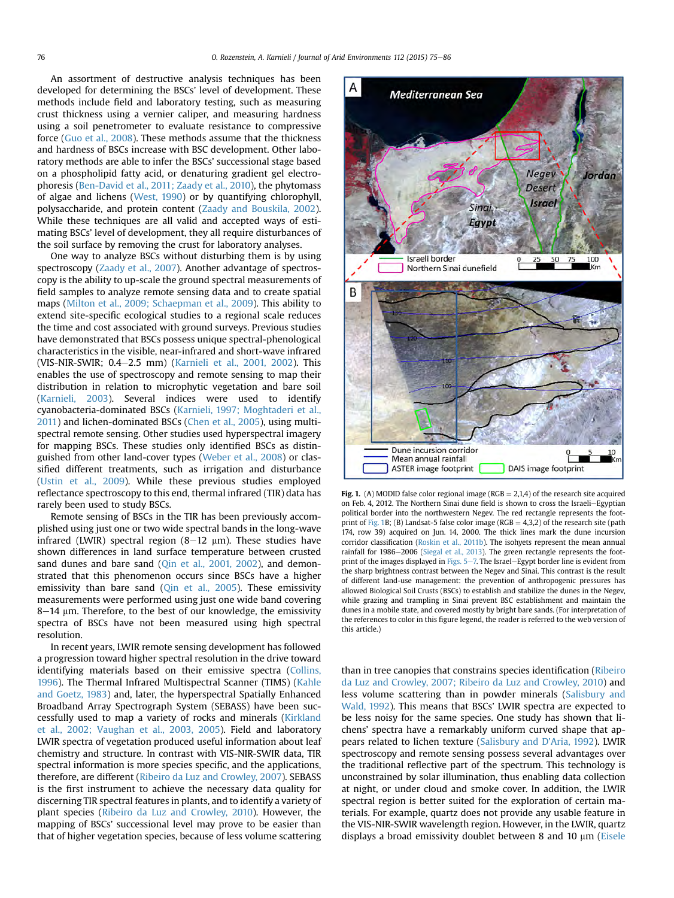<span id="page-1-0"></span>An assortment of destructive analysis techniques has been developed for determining the BSCs' level of development. These methods include field and laboratory testing, such as measuring crust thickness using a vernier caliper, and measuring hardness using a soil penetrometer to evaluate resistance to compressive force [\(Guo et al., 2008](#page-10-0)). These methods assume that the thickness and hardness of BSCs increase with BSC development. Other laboratory methods are able to infer the BSCs' successional stage based on a phospholipid fatty acid, or denaturing gradient gel electrophoresis ([Ben-David et al., 2011; Zaady et al., 2010](#page-10-0)), the phytomass of algae and lichens [\(West, 1990\)](#page-11-0) or by quantifying chlorophyll, polysaccharide, and protein content ([Zaady and Bouskila, 2002\)](#page-11-0). While these techniques are all valid and accepted ways of estimating BSCs' level of development, they all require disturbances of the soil surface by removing the crust for laboratory analyses.

One way to analyze BSCs without disturbing them is by using spectroscopy ([Zaady et al., 2007\)](#page-11-0). Another advantage of spectroscopy is the ability to up-scale the ground spectral measurements of field samples to analyze remote sensing data and to create spatial maps ([Milton et al., 2009; Schaepman et al., 2009\)](#page-10-0). This ability to extend site-specific ecological studies to a regional scale reduces the time and cost associated with ground surveys. Previous studies have demonstrated that BSCs possess unique spectral-phenological characteristics in the visible, near-infrared and short-wave infrared (VIS-NIR-SWIR; 0.4-2.5 mm) ([Karnieli et al., 2001, 2002\)](#page-10-0). This enables the use of spectroscopy and remote sensing to map their distribution in relation to microphytic vegetation and bare soil ([Karnieli, 2003\)](#page-10-0). Several indices were used to identify cyanobacteria-dominated BSCs ([Karnieli, 1997; Moghtaderi et al.,](#page-10-0) [2011\)](#page-10-0) and lichen-dominated BSCs ([Chen et al., 2005\)](#page-10-0), using multispectral remote sensing. Other studies used hyperspectral imagery for mapping BSCs. These studies only identified BSCs as distinguished from other land-cover types [\(Weber et al., 2008\)](#page-11-0) or classified different treatments, such as irrigation and disturbance ([Ustin et al., 2009](#page-11-0)). While these previous studies employed reflectance spectroscopy to this end, thermal infrared (TIR) data has rarely been used to study BSCs.

Remote sensing of BSCs in the TIR has been previously accomplished using just one or two wide spectral bands in the long-wave infrared (LWIR) spectral region  $(8-12 \mu m)$ . These studies have shown differences in land surface temperature between crusted sand dunes and bare sand ([Qin et al., 2001, 2002\)](#page-10-0), and demonstrated that this phenomenon occurs since BSCs have a higher emissivity than bare sand ([Qin et al., 2005](#page-10-0)). These emissivity measurements were performed using just one wide band covering  $8-14$  µm. Therefore, to the best of our knowledge, the emissivity spectra of BSCs have not been measured using high spectral resolution.

In recent years, LWIR remote sensing development has followed a progression toward higher spectral resolution in the drive toward identifying materials based on their emissive spectra ([Collins,](#page-10-0) [1996](#page-10-0)). The Thermal Infrared Multispectral Scanner (TIMS) ([Kahle](#page-10-0) [and Goetz, 1983\)](#page-10-0) and, later, the hyperspectral Spatially Enhanced Broadband Array Spectrograph System (SEBASS) have been successfully used to map a variety of rocks and minerals ([Kirkland](#page-10-0) [et al., 2002; Vaughan et al., 2003, 2005\)](#page-10-0). Field and laboratory LWIR spectra of vegetation produced useful information about leaf chemistry and structure. In contrast with VIS-NIR-SWIR data, TIR spectral information is more species specific, and the applications, therefore, are different [\(Ribeiro da Luz and Crowley, 2007\)](#page-11-0). SEBASS is the first instrument to achieve the necessary data quality for discerning TIR spectral features in plants, and to identify a variety of plant species [\(Ribeiro da Luz and Crowley, 2010](#page-10-0)). However, the mapping of BSCs' successional level may prove to be easier than that of higher vegetation species, because of less volume scattering



Fig. 1. (A) MODID false color regional image ( $RGB = 2,1,4$ ) of the research site acquired on Feb. 4, 2012. The Northern Sinai dune field is shown to cross the Israeli–Egyptian political border into the northwestern Negev. The red rectangle represents the footprint of Fig. 1B; (B) Landsat-5 false color image ( $RGB = 4,3,2$ ) of the research site (path 174, row 39) acquired on Jun. 14, 2000. The thick lines mark the dune incursion corridor classification ([Roskin et al., 2011b](#page-11-0)). The isohyets represent the mean annual rainfall for 1986-2006 [\(Siegal et al., 2013](#page-11-0)). The green rectangle represents the foot-print of the images displayed in [Figs. 5](#page-4-0)-[7.](#page-4-0) The Israel-Egypt border line is evident from the sharp brightness contrast between the Negev and Sinai. This contrast is the result of different land-use management: the prevention of anthropogenic pressures has allowed Biological Soil Crusts (BSCs) to establish and stabilize the dunes in the Negev, while grazing and trampling in Sinai prevent BSC establishment and maintain the dunes in a mobile state, and covered mostly by bright bare sands. (For interpretation of the references to color in this figure legend, the reader is referred to the web version of this article.)

than in tree canopies that constrains species identification ([Ribeiro](#page-11-0) [da Luz and Crowley, 2007; Ribeiro da Luz and Crowley, 2010](#page-11-0)) and less volume scattering than in powder minerals [\(Salisbury and](#page-11-0) [Wald, 1992](#page-11-0)). This means that BSCs' LWIR spectra are expected to be less noisy for the same species. One study has shown that lichens' spectra have a remarkably uniform curved shape that appears related to lichen texture ([Salisbury and D](#page-11-0)'Aria, 1992). LWIR spectroscopy and remote sensing possess several advantages over the traditional reflective part of the spectrum. This technology is unconstrained by solar illumination, thus enabling data collection at night, or under cloud and smoke cover. In addition, the LWIR spectral region is better suited for the exploration of certain materials. For example, quartz does not provide any usable feature in the VIS-NIR-SWIR wavelength region. However, in the LWIR, quartz displays a broad emissivity doublet between 8 and 10  $\mu$ m [\(Eisele](#page-10-0)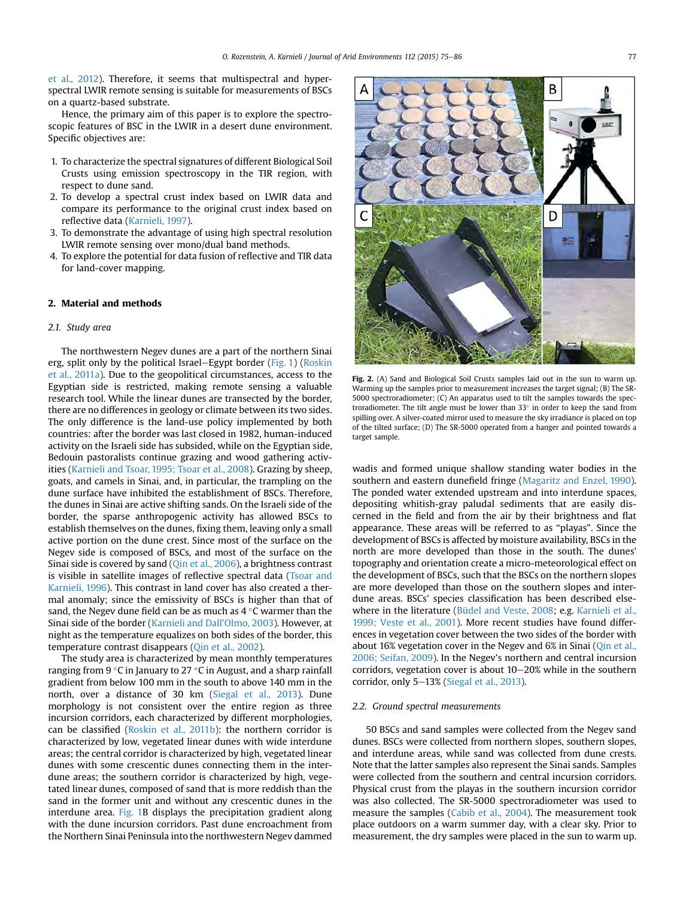<span id="page-2-0"></span>[et al., 2012](#page-10-0)). Therefore, it seems that multispectral and hyperspectral LWIR remote sensing is suitable for measurements of BSCs on a quartz-based substrate.

Hence, the primary aim of this paper is to explore the spectroscopic features of BSC in the LWIR in a desert dune environment. Specific objectives are:

- 1. To characterize the spectral signatures of different Biological Soil Crusts using emission spectroscopy in the TIR region, with respect to dune sand.
- 2. To develop a spectral crust index based on LWIR data and compare its performance to the original crust index based on reflective data ([Karnieli, 1997](#page-10-0)).
- 3. To demonstrate the advantage of using high spectral resolution LWIR remote sensing over mono/dual band methods.
- 4. To explore the potential for data fusion of reflective and TIR data for land-cover mapping.

#### 2. Material and methods

#### 2.1. Study area

The northwestern Negev dunes are a part of the northern Sinai erg, split only by the political Israel-Egypt border ([Fig. 1\)](#page-1-0) [\(Roskin](#page-11-0) [et al., 2011a](#page-11-0)). Due to the geopolitical circumstances, access to the Egyptian side is restricted, making remote sensing a valuable research tool. While the linear dunes are transected by the border, there are no differences in geology or climate between its two sides. The only difference is the land-use policy implemented by both countries: after the border was last closed in 1982, human-induced activity on the Israeli side has subsided, while on the Egyptian side, Bedouin pastoralists continue grazing and wood gathering activities [\(Karnieli and Tsoar, 1995; Tsoar et al., 2008](#page-10-0)). Grazing by sheep, goats, and camels in Sinai, and, in particular, the trampling on the dune surface have inhibited the establishment of BSCs. Therefore, the dunes in Sinai are active shifting sands. On the Israeli side of the border, the sparse anthropogenic activity has allowed BSCs to establish themselves on the dunes, fixing them, leaving only a small active portion on the dune crest. Since most of the surface on the Negev side is composed of BSCs, and most of the surface on the Sinai side is covered by sand ([Qin et al., 2006\)](#page-10-0), a brightness contrast is visible in satellite images of reflective spectral data [\(Tsoar and](#page-11-0) [Karnieli, 1996](#page-11-0)). This contrast in land cover has also created a thermal anomaly; since the emissivity of BSCs is higher than that of sand, the Negev dune field can be as much as  $4\,^{\circ}$ C warmer than the Sinai side of the border ([Karnieli and Dall](#page-10-0)'Olmo, 2003). However, at night as the temperature equalizes on both sides of the border, this temperature contrast disappears [\(Qin et al., 2002](#page-10-0)).

The study area is characterized by mean monthly temperatures ranging from 9 °C in January to 27 °C in August, and a sharp rainfall gradient from below 100 mm in the south to above 140 mm in the north, over a distance of 30 km [\(Siegal et al., 2013](#page-11-0)). Dune morphology is not consistent over the entire region as three incursion corridors, each characterized by different morphologies, can be classified [\(Roskin et al., 2011b](#page-11-0)): the northern corridor is characterized by low, vegetated linear dunes with wide interdune areas; the central corridor is characterized by high, vegetated linear dunes with some crescentic dunes connecting them in the interdune areas; the southern corridor is characterized by high, vegetated linear dunes, composed of sand that is more reddish than the sand in the former unit and without any crescentic dunes in the interdune area. [Fig. 1](#page-1-0)B displays the precipitation gradient along with the dune incursion corridors. Past dune encroachment from the Northern Sinai Peninsula into the northwestern Negev dammed



Fig. 2. (A) Sand and Biological Soil Crusts samples laid out in the sun to warm up. Warming up the samples prior to measurement increases the target signal; (B) The SR-5000 spectroradiometer; (C) An apparatus used to tilt the samples towards the spectroradiometer. The tilt angle must be lower than  $33^{\circ}$  in order to keep the sand from spilling over. A silver-coated mirror used to measure the sky irradiance is placed on top of the tilted surface; (D) The SR-5000 operated from a hanger and pointed towards a target sample.

wadis and formed unique shallow standing water bodies in the southern and eastern dunefield fringe ([Magaritz and Enzel, 1990\)](#page-10-0). The ponded water extended upstream and into interdune spaces, depositing whitish-gray paludal sediments that are easily discerned in the field and from the air by their brightness and flat appearance. These areas will be referred to as "playas". Since the development of BSCs is affected by moisture availability, BSCs in the north are more developed than those in the south. The dunes' topography and orientation create a micro-meteorological effect on the development of BSCs, such that the BSCs on the northern slopes are more developed than those on the southern slopes and interdune areas. BSCs' species classification has been described elsewhere in the literature ([Büdel and Veste, 2008](#page-10-0); e.g. [Karnieli et al.,](#page-10-0) [1999; Veste et al., 2001\)](#page-10-0). More recent studies have found differences in vegetation cover between the two sides of the border with about 16% vegetation cover in the Negev and 6% in Sinai [\(Qin et al.,](#page-10-0) [2006; Seifan, 2009\)](#page-10-0). In the Negev's northern and central incursion corridors, vegetation cover is about  $10-20%$  while in the southern corridor, only 5-13% [\(Siegal et al., 2013\)](#page-11-0).

#### 2.2. Ground spectral measurements

50 BSCs and sand samples were collected from the Negev sand dunes. BSCs were collected from northern slopes, southern slopes, and interdune areas, while sand was collected from dune crests. Note that the latter samples also represent the Sinai sands. Samples were collected from the southern and central incursion corridors. Physical crust from the playas in the southern incursion corridor was also collected. The SR-5000 spectroradiometer was used to measure the samples ([Cabib et al., 2004\)](#page-10-0). The measurement took place outdoors on a warm summer day, with a clear sky. Prior to measurement, the dry samples were placed in the sun to warm up.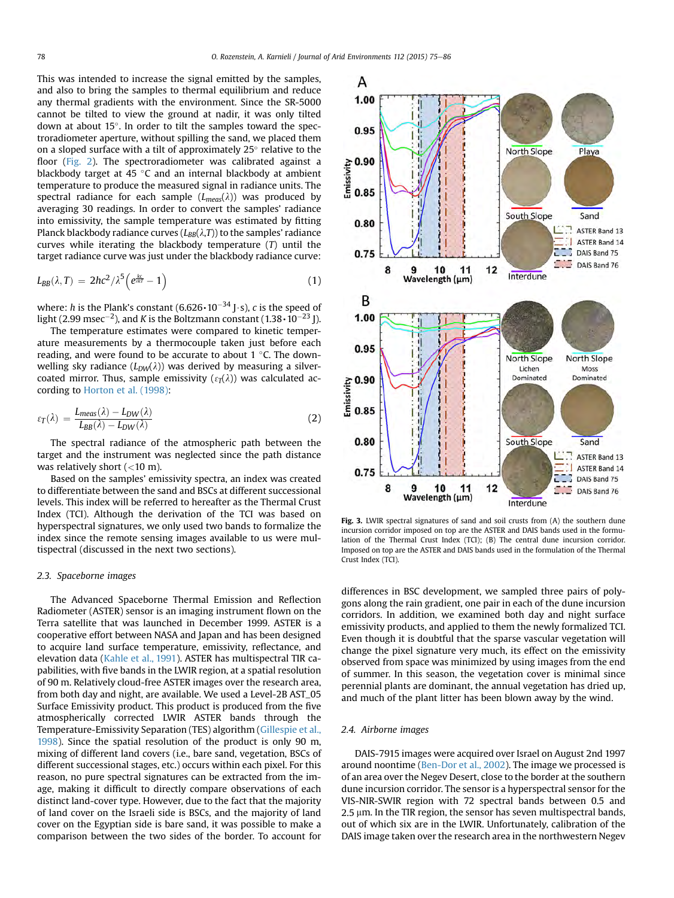<span id="page-3-0"></span>This was intended to increase the signal emitted by the samples, and also to bring the samples to thermal equilibrium and reduce any thermal gradients with the environment. Since the SR-5000 cannot be tilted to view the ground at nadir, it was only tilted down at about 15 $^{\circ}$ . In order to tilt the samples toward the spectroradiometer aperture, without spilling the sand, we placed them on a sloped surface with a tilt of approximately 25 $^{\circ}$  relative to the floor ([Fig. 2](#page-2-0)). The spectroradiometer was calibrated against a blackbody target at 45  $^{\circ}$ C and an internal blackbody at ambient temperature to produce the measured signal in radiance units. The spectral radiance for each sample  $(L_{meas}(\lambda))$  was produced by averaging 30 readings. In order to convert the samples' radiance into emissivity, the sample temperature was estimated by fitting Planck blackbody radiance curves  $(L_{BB}(\lambda,T))$  to the samples' radiance curves while iterating the blackbody temperature (T) until the target radiance curve was just under the blackbody radiance curve:

$$
L_{BB}(\lambda,T) = 2hc^2/\lambda^5 \left(e^{\frac{kc}{\lambda kT}} - 1\right) \tag{1}
$$

where: h is the Plank's constant  $(6.626 \cdot 10^{-34}$  J $\cdot$ s), c is the speed of light (2.99 msec $^{-2}$ ), and K is the Boltzmann constant (1.38 $\boldsymbol{\cdot}$  10 $^{-23}$  J).

The temperature estimates were compared to kinetic temperature measurements by a thermocouple taken just before each reading, and were found to be accurate to about 1  $^\circ$ C. The downwelling sky radiance  $(L_{DW}(\lambda))$  was derived by measuring a silvercoated mirror. Thus, sample emissivity ( $\varepsilon_{T}(\lambda)$ ) was calculated according to [Horton et al. \(1998\):](#page-10-0)

$$
\varepsilon_T(\lambda) = \frac{L_{meas}(\lambda) - L_{DW}(\lambda)}{L_{BB}(\lambda) - L_{DW}(\lambda)}\tag{2}
$$

The spectral radiance of the atmospheric path between the target and the instrument was neglected since the path distance was relatively short (<10 m).

Based on the samples' emissivity spectra, an index was created to differentiate between the sand and BSCs at different successional levels. This index will be referred to hereafter as the Thermal Crust Index (TCI). Although the derivation of the TCI was based on hyperspectral signatures, we only used two bands to formalize the index since the remote sensing images available to us were multispectral (discussed in the next two sections).

#### 2.3. Spaceborne images

The Advanced Spaceborne Thermal Emission and Reflection Radiometer (ASTER) sensor is an imaging instrument flown on the Terra satellite that was launched in December 1999. ASTER is a cooperative effort between NASA and Japan and has been designed to acquire land surface temperature, emissivity, reflectance, and elevation data ([Kahle et al., 1991](#page-10-0)). ASTER has multispectral TIR capabilities, with five bands in the LWIR region, at a spatial resolution of 90 m. Relatively cloud-free ASTER images over the research area, from both day and night, are available. We used a Level-2B AST\_05 Surface Emissivity product. This product is produced from the five atmospherically corrected LWIR ASTER bands through the Temperature-Emissivity Separation (TES) algorithm [\(Gillespie et al.,](#page-10-0) [1998](#page-10-0)). Since the spatial resolution of the product is only 90 m, mixing of different land covers (i.e., bare sand, vegetation, BSCs of different successional stages, etc.) occurs within each pixel. For this reason, no pure spectral signatures can be extracted from the image, making it difficult to directly compare observations of each distinct land-cover type. However, due to the fact that the majority of land cover on the Israeli side is BSCs, and the majority of land cover on the Egyptian side is bare sand, it was possible to make a comparison between the two sides of the border. To account for



Fig. 3. LWIR spectral signatures of sand and soil crusts from (A) the southern dune incursion corridor imposed on top are the ASTER and DAIS bands used in the formulation of the Thermal Crust Index (TCI); (B) The central dune incursion corridor. Imposed on top are the ASTER and DAIS bands used in the formulation of the Thermal Crust Index (TCI).

differences in BSC development, we sampled three pairs of polygons along the rain gradient, one pair in each of the dune incursion corridors. In addition, we examined both day and night surface emissivity products, and applied to them the newly formalized TCI. Even though it is doubtful that the sparse vascular vegetation will change the pixel signature very much, its effect on the emissivity observed from space was minimized by using images from the end of summer. In this season, the vegetation cover is minimal since perennial plants are dominant, the annual vegetation has dried up, and much of the plant litter has been blown away by the wind.

#### 2.4. Airborne images

DAIS-7915 images were acquired over Israel on August 2nd 1997 around noontime [\(Ben-Dor et al., 2002\)](#page-10-0). The image we processed is of an area over the Negev Desert, close to the border at the southern dune incursion corridor. The sensor is a hyperspectral sensor for the VIS-NIR-SWIR region with 72 spectral bands between 0.5 and  $2.5 \mu m$ . In the TIR region, the sensor has seven multispectral bands, out of which six are in the LWIR. Unfortunately, calibration of the DAIS image taken over the research area in the northwestern Negev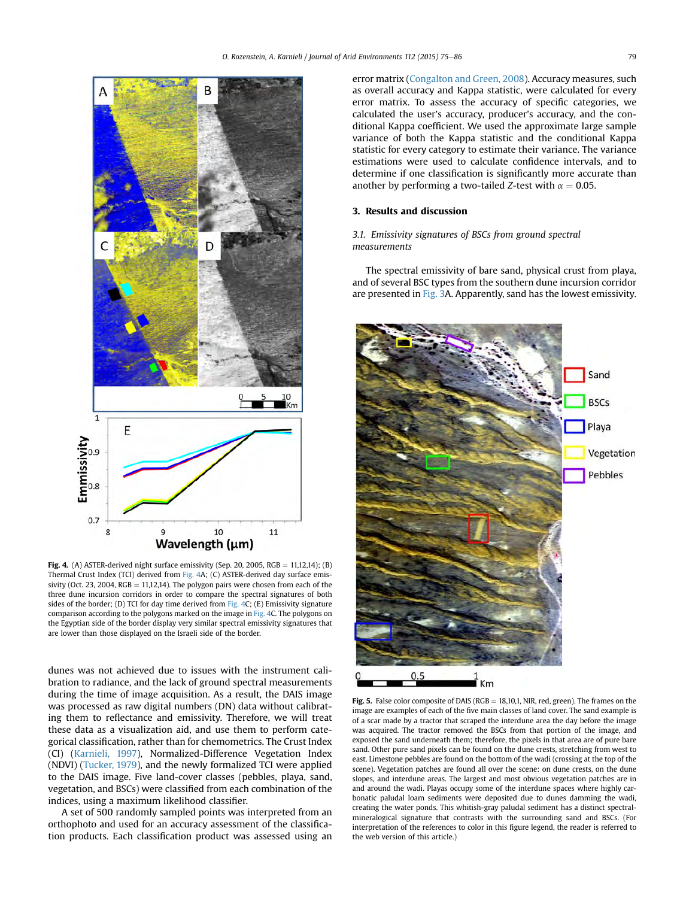<span id="page-4-0"></span>

Fig. 4. (A) ASTER-derived night surface emissivity (Sep. 20, 2005, RGB = 11,12,14); (B) Thermal Crust Index (TCI) derived from Fig. 4A; (C) ASTER-derived day surface emissivity (Oct. 23, 2004,  $RGB = 11,12,14$ ). The polygon pairs were chosen from each of the three dune incursion corridors in order to compare the spectral signatures of both sides of the border; (D) TCI for day time derived from Fig. 4C; (E) Emissivity signature comparison according to the polygons marked on the image in Fig. 4C. The polygons on the Egyptian side of the border display very similar spectral emissivity signatures that are lower than those displayed on the Israeli side of the border.

dunes was not achieved due to issues with the instrument calibration to radiance, and the lack of ground spectral measurements during the time of image acquisition. As a result, the DAIS image was processed as raw digital numbers (DN) data without calibrating them to reflectance and emissivity. Therefore, we will treat these data as a visualization aid, and use them to perform categorical classification, rather than for chemometrics. The Crust Index (CI) ([Karnieli, 1997](#page-10-0)), Normalized-Difference Vegetation Index (NDVI) ([Tucker, 1979](#page-11-0)), and the newly formalized TCI were applied to the DAIS image. Five land-cover classes (pebbles, playa, sand, vegetation, and BSCs) were classified from each combination of the indices, using a maximum likelihood classifier.

A set of 500 randomly sampled points was interpreted from an orthophoto and used for an accuracy assessment of the classification products. Each classification product was assessed using an error matrix [\(Congalton and Green, 2008](#page-10-0)). Accuracy measures, such as overall accuracy and Kappa statistic, were calculated for every error matrix. To assess the accuracy of specific categories, we calculated the user's accuracy, producer's accuracy, and the conditional Kappa coefficient. We used the approximate large sample variance of both the Kappa statistic and the conditional Kappa statistic for every category to estimate their variance. The variance estimations were used to calculate confidence intervals, and to determine if one classification is significantly more accurate than another by performing a two-tailed Z-test with  $\alpha = 0.05$ .

#### 3. Results and discussion

#### 3.1. Emissivity signatures of BSCs from ground spectral measurements

The spectral emissivity of bare sand, physical crust from playa, and of several BSC types from the southern dune incursion corridor are presented in [Fig. 3](#page-3-0)A. Apparently, sand has the lowest emissivity.



Fig. 5. False color composite of DAIS ( $RGB = 18,10,1$ , NIR, red, green). The frames on the image are examples of each of the five main classes of land cover. The sand example is of a scar made by a tractor that scraped the interdune area the day before the image was acquired. The tractor removed the BSCs from that portion of the image, and exposed the sand underneath them; therefore, the pixels in that area are of pure bare sand. Other pure sand pixels can be found on the dune crests, stretching from west to east. Limestone pebbles are found on the bottom of the wadi (crossing at the top of the scene). Vegetation patches are found all over the scene: on dune crests, on the dune slopes, and interdune areas. The largest and most obvious vegetation patches are in and around the wadi. Playas occupy some of the interdune spaces where highly carbonatic paludal loam sediments were deposited due to dunes damming the wadi, creating the water ponds. This whitish-gray paludal sediment has a distinct spectralmineralogical signature that contrasts with the surrounding sand and BSCs. (For interpretation of the references to color in this figure legend, the reader is referred to the web version of this article.)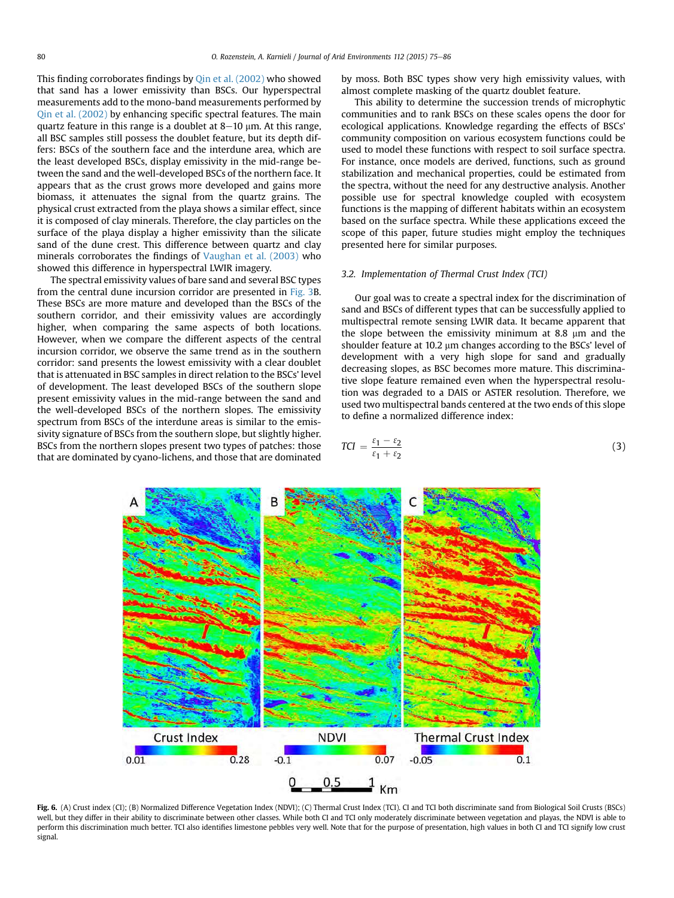<span id="page-5-0"></span>This finding corroborates findings by [Qin et al. \(2002\)](#page-10-0) who showed that sand has a lower emissivity than BSCs. Our hyperspectral measurements add to the mono-band measurements performed by [Qin et al. \(2002\)](#page-10-0) by enhancing specific spectral features. The main quartz feature in this range is a doublet at  $8-10$  µm. At this range, all BSC samples still possess the doublet feature, but its depth differs: BSCs of the southern face and the interdune area, which are the least developed BSCs, display emissivity in the mid-range between the sand and the well-developed BSCs of the northern face. It appears that as the crust grows more developed and gains more biomass, it attenuates the signal from the quartz grains. The physical crust extracted from the playa shows a similar effect, since it is composed of clay minerals. Therefore, the clay particles on the surface of the playa display a higher emissivity than the silicate sand of the dune crest. This difference between quartz and clay minerals corroborates the findings of [Vaughan et al. \(2003\)](#page-11-0) who showed this difference in hyperspectral LWIR imagery.

The spectral emissivity values of bare sand and several BSC types from the central dune incursion corridor are presented in [Fig. 3](#page-3-0)B. These BSCs are more mature and developed than the BSCs of the southern corridor, and their emissivity values are accordingly higher, when comparing the same aspects of both locations. However, when we compare the different aspects of the central incursion corridor, we observe the same trend as in the southern corridor: sand presents the lowest emissivity with a clear doublet that is attenuated in BSC samples in direct relation to the BSCs' level of development. The least developed BSCs of the southern slope present emissivity values in the mid-range between the sand and the well-developed BSCs of the northern slopes. The emissivity spectrum from BSCs of the interdune areas is similar to the emissivity signature of BSCs from the southern slope, but slightly higher. BSCs from the northern slopes present two types of patches: those that are dominated by cyano-lichens, and those that are dominated by moss. Both BSC types show very high emissivity values, with almost complete masking of the quartz doublet feature.

This ability to determine the succession trends of microphytic communities and to rank BSCs on these scales opens the door for ecological applications. Knowledge regarding the effects of BSCs' community composition on various ecosystem functions could be used to model these functions with respect to soil surface spectra. For instance, once models are derived, functions, such as ground stabilization and mechanical properties, could be estimated from the spectra, without the need for any destructive analysis. Another possible use for spectral knowledge coupled with ecosystem functions is the mapping of different habitats within an ecosystem based on the surface spectra. While these applications exceed the scope of this paper, future studies might employ the techniques presented here for similar purposes.

#### 3.2. Implementation of Thermal Crust Index (TCI)

Our goal was to create a spectral index for the discrimination of sand and BSCs of different types that can be successfully applied to multispectral remote sensing LWIR data. It became apparent that the slope between the emissivity minimum at 8.8  $\mu$ m and the shoulder feature at 10.2  $\mu$ m changes according to the BSCs' level of development with a very high slope for sand and gradually decreasing slopes, as BSC becomes more mature. This discriminative slope feature remained even when the hyperspectral resolution was degraded to a DAIS or ASTER resolution. Therefore, we used two multispectral bands centered at the two ends of this slope to define a normalized difference index:

$$
TCI = \frac{\varepsilon_1 - \varepsilon_2}{\varepsilon_1 + \varepsilon_2} \tag{3}
$$



Fig. 6. (A) Crust index (CI); (B) Normalized Difference Vegetation Index (NDVI); (C) Thermal Crust Index (TCI). CI and TCI both discriminate sand from Biological Soil Crusts (BSCs) well, but they differ in their ability to discriminate between other classes. While both CI and TCI only moderately discriminate between vegetation and playas, the NDVI is able to perform this discrimination much better. TCI also identifies limestone pebbles very well. Note that for the purpose of presentation, high values in both CI and TCI signify low crust signal.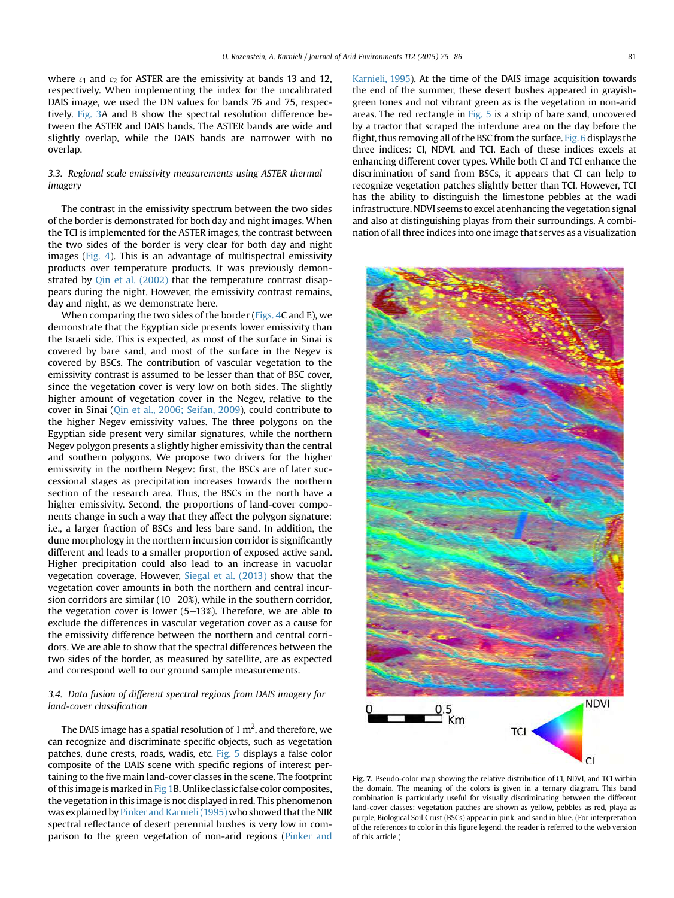<span id="page-6-0"></span>where  $\varepsilon_1$  and  $\varepsilon_2$  for ASTER are the emissivity at bands 13 and 12, respectively. When implementing the index for the uncalibrated DAIS image, we used the DN values for bands 76 and 75, respectively. [Fig. 3A](#page-3-0) and B show the spectral resolution difference between the ASTER and DAIS bands. The ASTER bands are wide and slightly overlap, while the DAIS bands are narrower with no overlap.

#### 3.3. Regional scale emissivity measurements using ASTER thermal imagery

The contrast in the emissivity spectrum between the two sides of the border is demonstrated for both day and night images. When the TCI is implemented for the ASTER images, the contrast between the two sides of the border is very clear for both day and night images ([Fig. 4](#page-4-0)). This is an advantage of multispectral emissivity products over temperature products. It was previously demon-strated by [Qin et al. \(2002\)](#page-10-0) that the temperature contrast disappears during the night. However, the emissivity contrast remains, day and night, as we demonstrate here.

When comparing the two sides of the border ([Figs. 4C](#page-4-0) and E), we demonstrate that the Egyptian side presents lower emissivity than the Israeli side. This is expected, as most of the surface in Sinai is covered by bare sand, and most of the surface in the Negev is covered by BSCs. The contribution of vascular vegetation to the emissivity contrast is assumed to be lesser than that of BSC cover, since the vegetation cover is very low on both sides. The slightly higher amount of vegetation cover in the Negev, relative to the cover in Sinai ([Qin et al., 2006; Seifan, 2009](#page-10-0)), could contribute to the higher Negev emissivity values. The three polygons on the Egyptian side present very similar signatures, while the northern Negev polygon presents a slightly higher emissivity than the central and southern polygons. We propose two drivers for the higher emissivity in the northern Negev: first, the BSCs are of later successional stages as precipitation increases towards the northern section of the research area. Thus, the BSCs in the north have a higher emissivity. Second, the proportions of land-cover components change in such a way that they affect the polygon signature: i.e., a larger fraction of BSCs and less bare sand. In addition, the dune morphology in the northern incursion corridor is significantly different and leads to a smaller proportion of exposed active sand. Higher precipitation could also lead to an increase in vacuolar vegetation coverage. However, [Siegal et al. \(2013\)](#page-11-0) show that the vegetation cover amounts in both the northern and central incursion corridors are similar (10 $-20%$ ), while in the southern corridor, the vegetation cover is lower  $(5-13%)$ . Therefore, we are able to exclude the differences in vascular vegetation cover as a cause for the emissivity difference between the northern and central corridors. We are able to show that the spectral differences between the two sides of the border, as measured by satellite, are as expected and correspond well to our ground sample measurements.

### 3.4. Data fusion of different spectral regions from DAIS imagery for land-cover classification

The DAIS image has a spatial resolution of 1  $\mathrm{m}^2$ , and therefore, we can recognize and discriminate specific objects, such as vegetation patches, dune crests, roads, wadis, etc. [Fig. 5](#page-4-0) displays a false color composite of the DAIS scene with specific regions of interest pertaining to the five main land-cover classes in the scene. The footprint of this image is marked in [Fig 1](#page-1-0)B. Unlike classic false color composites, the vegetation in this image is not displayed in red. This phenomenon was explained by [Pinker and Karnieli \(1995\)](#page-10-0) who showed that the NIR spectral reflectance of desert perennial bushes is very low in comparison to the green vegetation of non-arid regions ([Pinker and](#page-10-0) [Karnieli, 1995\)](#page-10-0). At the time of the DAIS image acquisition towards the end of the summer, these desert bushes appeared in grayishgreen tones and not vibrant green as is the vegetation in non-arid areas. The red rectangle in [Fig. 5](#page-4-0) is a strip of bare sand, uncovered by a tractor that scraped the interdune area on the day before the flight, thus removing all of the BSC from the surface. [Fig. 6](#page-5-0) displays the three indices: CI, NDVI, and TCI. Each of these indices excels at enhancing different cover types. While both CI and TCI enhance the discrimination of sand from BSCs, it appears that CI can help to recognize vegetation patches slightly better than TCI. However, TCI has the ability to distinguish the limestone pebbles at the wadi infrastructure. NDVI seems to excel at enhancing the vegetation signal and also at distinguishing playas from their surroundings. A combination of all three indices into one image that serves as a visualization



Fig. 7. Pseudo-color map showing the relative distribution of CI, NDVI, and TCI within the domain. The meaning of the colors is given in a ternary diagram. This band combination is particularly useful for visually discriminating between the different land-cover classes: vegetation patches are shown as yellow, pebbles as red, playa as purple, Biological Soil Crust (BSCs) appear in pink, and sand in blue. (For interpretation of the references to color in this figure legend, the reader is referred to the web version of this article.)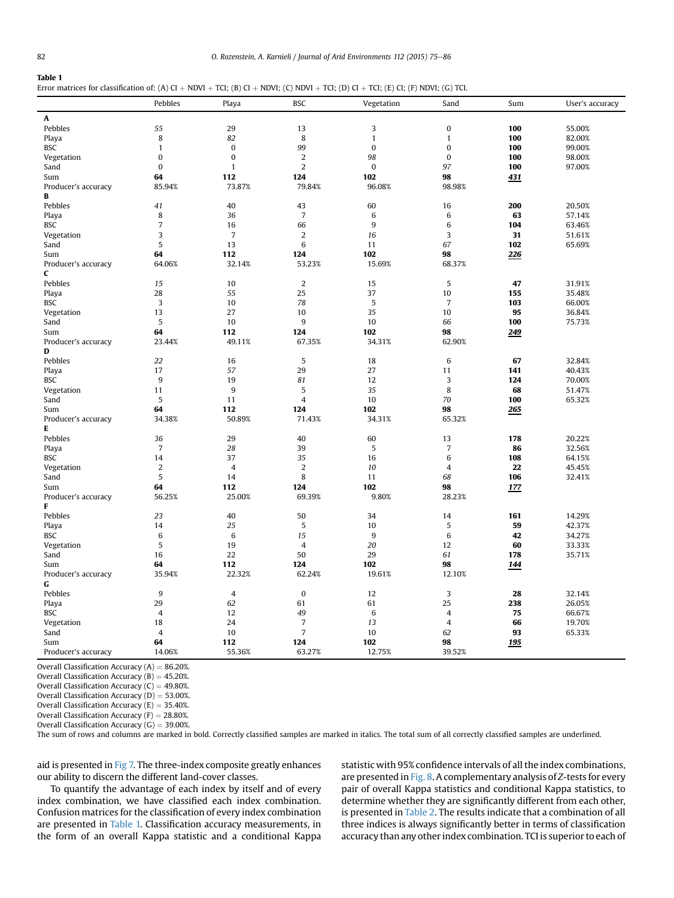#### Table 1

Error matrices for classification of: (A) CI + NDVI + TCI; (B) CI + NDVI; (C) NDVI + TCI; (D) CI + TCI; (E) CI; (F) NDVI; (G) TCI.

|                     | Pebbles        | Playa            | <b>BSC</b>       | Vegetation   | Sand           | Sum        | User's accuracy |
|---------------------|----------------|------------------|------------------|--------------|----------------|------------|-----------------|
| $\mathbf A$         |                |                  |                  |              |                |            |                 |
| Pebbles             | 55             | 29               | 13               | 3            | $\bf{0}$       | 100        | 55.00%          |
| Playa               | 8              | 82               | 8                | $\mathbf{1}$ | $\mathbf{1}$   | 100        | 82.00%          |
| <b>BSC</b>          | $\mathbf{1}$   | $\boldsymbol{0}$ | 99               | $\mathbf{0}$ | $\mathbf{0}$   | 100        | 99.00%          |
| Vegetation          | $\bf{0}$       | $\mathbf{0}$     | $\boldsymbol{2}$ | 98           | $\mathbf{0}$   | 100        | 98.00%          |
| Sand                | $\mathbf{0}$   | 1                | $\overline{2}$   | $\bf{0}$     | 97             | 100        | 97.00%          |
| Sum                 | 64             | 112              | 124              | 102          | 98             | 431        |                 |
| Producer's accuracy | 85.94%         | 73.87%           | 79.84%           | 96.08%       | 98.98%         |            |                 |
| B                   |                |                  |                  |              |                |            |                 |
| Pebbles             | 41             | 40               | 43               | 60           | 16             | 200        | 20.50%          |
| Playa               | 8              | 36               | $\overline{7}$   | 6            | 6              | 63         | 57.14%          |
| <b>BSC</b>          | $\overline{7}$ | 16               | 66               | 9            | 6              | 104        | 63.46%          |
|                     | 3              | $\overline{7}$   | $\overline{2}$   | 16           | 3              |            |                 |
| Vegetation          |                |                  |                  |              |                | 31         | 51.61%          |
| Sand                | 5              | 13               | 6                | 11           | 67             | 102        | 65.69%          |
| Sum                 | 64             | 112              | 124              | 102          | 98             | 226        |                 |
| Producer's accuracy | 64.06%         | 32.14%           | 53.23%           | 15.69%       | 68.37%         |            |                 |
| C                   |                |                  |                  |              |                |            |                 |
| Pebbles             | 15             | 10               | $\boldsymbol{2}$ | 15           | 5              | 47         | 31.91%          |
| Playa               | 28             | 55               | 25               | 37           | 10             | 155        | 35.48%          |
| <b>BSC</b>          | 3              | 10               | 78               | 5            | $\overline{7}$ | 103        | 66.00%          |
| Vegetation          | 13             | 27               | 10               | 35           | 10             | 95         | 36.84%          |
| Sand                | 5              | 10               | 9                | 10           | 66             | 100        | 75.73%          |
| Sum                 | 64             | 112              | 124              | 102          | 98             | 249        |                 |
| Producer's accuracy | 23.44%         | 49.11%           | 67.35%           | 34.31%       | 62.90%         |            |                 |
| D                   |                |                  |                  |              |                |            |                 |
| Pebbles             | 22             | 16               | 5                | 18           | $\,6$          | 67         | 32.84%          |
| Playa               | 17             | 57               | 29               | 27           | 11             | 141        | 40.43%          |
| <b>BSC</b>          | 9              | 19               | 81               | 12           | 3              | 124        | 70.00%          |
| Vegetation          | 11             | 9                | 5                | 35           | 8              | 68         | 51.47%          |
| Sand                | 5              | 11               | 4                | 10           | 70             | 100        | 65.32%          |
| Sum                 | 64             | 112              | 124              | 102          | 98             | 265        |                 |
| Producer's accuracy | 34.38%         | 50.89%           | 71.43%           | 34.31%       | 65.32%         |            |                 |
| E                   |                |                  |                  |              |                |            |                 |
| Pebbles             | 36             | 29               | 40               | 60           | 13             | 178        | 20.22%          |
| Playa               | $\overline{7}$ | 28               | 39               | 5            | $\overline{7}$ | 86         | 32.56%          |
| BSC                 | 14             | 37               | 35               | 16           | 6              | 108        | 64.15%          |
|                     |                | $\overline{4}$   | $\overline{2}$   |              | $\overline{4}$ | 22         | 45.45%          |
| Vegetation          | $\overline{c}$ |                  |                  | 10           |                |            |                 |
| Sand                | 5              | 14               | 8                | 11           | 68             | 106        | 32.41%          |
| Sum                 | 64             | 112              | 124              | 102          | 98             | 177        |                 |
| Producer's accuracy | 56.25%         | 25.00%           | 69.39%           | 9.80%        | 28.23%         |            |                 |
| F                   |                |                  |                  |              |                |            |                 |
| Pebbles             | 23             | 40               | 50               | 34           | 14             | 161        | 14.29%          |
| Playa               | 14             | 25               | 5                | 10           | 5              | 59         | 42.37%          |
| <b>BSC</b>          | 6              | $\,6\,$          | 15               | 9            | 6              | 42         | 34.27%          |
| Vegetation          | 5              | 19               | 4                | 20           | 12             | 60         | 33.33%          |
| Sand                | 16             | 22               | 50               | 29           | 61             | 178        | 35.71%          |
| Sum                 | 64             | 112              | 124              | 102          | 98             | <u>144</u> |                 |
| Producer's accuracy | 35.94%         | 22.32%           | 62.24%           | 19.61%       | 12.10%         |            |                 |
| G                   |                |                  |                  |              |                |            |                 |
| Pebbles             | 9              | $\overline{4}$   | $\bf{0}$         | 12           | 3              | 28         | 32.14%          |
| Playa               | 29             | 62               | 61               | 61           | 25             | 238        | 26.05%          |
| <b>BSC</b>          | $\overline{4}$ | 12               | 49               | 6            | $\overline{4}$ | 75         | 66.67%          |
| Vegetation          | 18             | 24               | $\overline{7}$   | 13           | $\overline{4}$ | 66         | 19.70%          |
| Sand                | $\overline{4}$ | 10               | $\overline{7}$   | 10           | 62             | 93         | 65.33%          |
| Sum                 | 64             | 112              | 124              | 102          | 98             | 195        |                 |
| Producer's accuracy | 14.06%         | 55.36%           | 63.27%           | 12.75%       | 39.52%         |            |                 |
|                     |                |                  |                  |              |                |            |                 |

Overall Classification Accuracy (A) =  $86.20\%$ .

Overall Classification Accuracy  $(B) = 45.20\%$ . Overall Classification Accuracy  $(C) = 49.80\%$ .

Overall Classification Accuracy  $(D) = 53.00\%$ .

Overall Classification Accuracy  $(E) = 35.40\%$ .

Overall Classification Accuracy  $(F) = 28.80\%$ .

Overall Classification Accuracy  $(G) = 39.00\%$ .

The sum of rows and columns are marked in bold. Correctly classified samples are marked in italics. The total sum of all correctly classified samples are underlined.

aid is presented in [Fig 7.](#page-6-0) The three-index composite greatly enhances our ability to discern the different land-cover classes.

To quantify the advantage of each index by itself and of every index combination, we have classified each index combination. Confusion matrices for the classification of every index combination are presented in Table 1. Classification accuracy measurements, in the form of an overall Kappa statistic and a conditional Kappa statistic with 95% confidence intervals of all the index combinations, are presented in [Fig. 8](#page-8-0). A complementary analysis of Z-tests for every pair of overall Kappa statistics and conditional Kappa statistics, to determine whether they are significantly different from each other, is presented in [Table 2](#page-9-0). The results indicate that a combination of all three indices is always significantly better in terms of classification accuracy than any other index combination. TCI is superior to each of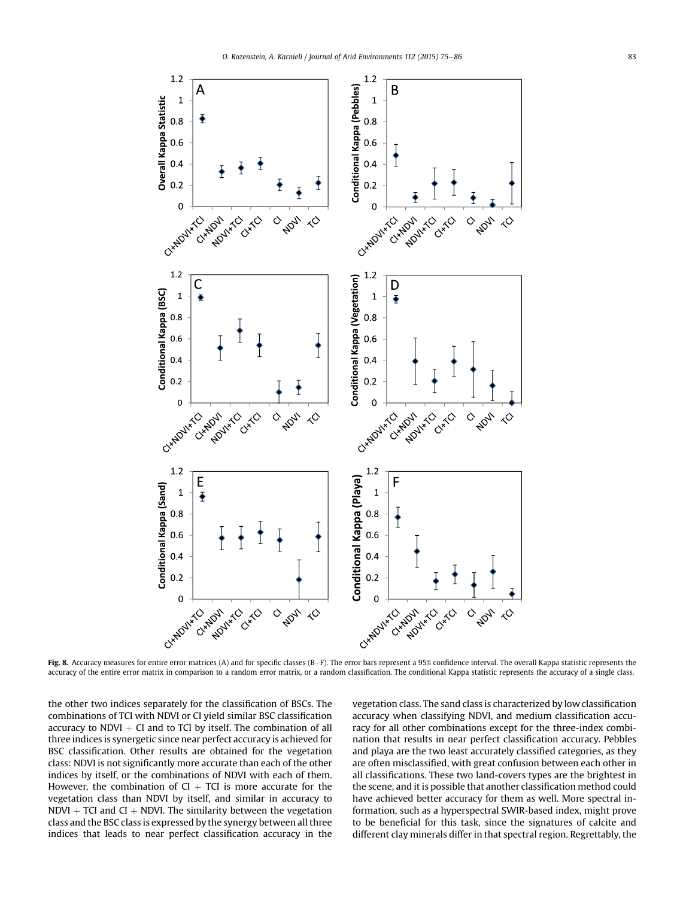<span id="page-8-0"></span>

Fig. 8. Accuracy measures for entire error matrices (A) and for specific classes (B-F). The error bars represent a 95% confidence interval. The overall Kappa statistic represents the accuracy of the entire error matrix in comparison to a random error matrix, or a random classification. The conditional Kappa statistic represents the accuracy of a single class.

the other two indices separately for the classification of BSCs. The combinations of TCI with NDVI or CI yield similar BSC classification accuracy to NDVI  $+$  CI and to TCI by itself. The combination of all three indices is synergetic since near perfect accuracy is achieved for BSC classification. Other results are obtained for the vegetation class: NDVI is not significantly more accurate than each of the other indices by itself, or the combinations of NDVI with each of them. However, the combination of  $CI + TCI$  is more accurate for the vegetation class than NDVI by itself, and similar in accuracy to  $NDVI + TCI$  and  $CI + NDVI$ . The similarity between the vegetation class and the BSC class is expressed by the synergy between all three indices that leads to near perfect classification accuracy in the vegetation class. The sand class is characterized by low classification accuracy when classifying NDVI, and medium classification accuracy for all other combinations except for the three-index combination that results in near perfect classification accuracy. Pebbles and playa are the two least accurately classified categories, as they are often misclassified, with great confusion between each other in all classifications. These two land-covers types are the brightest in the scene, and it is possible that another classification method could have achieved better accuracy for them as well. More spectral information, such as a hyperspectral SWIR-based index, might prove to be beneficial for this task, since the signatures of calcite and different clay minerals differ in that spectral region. Regrettably, the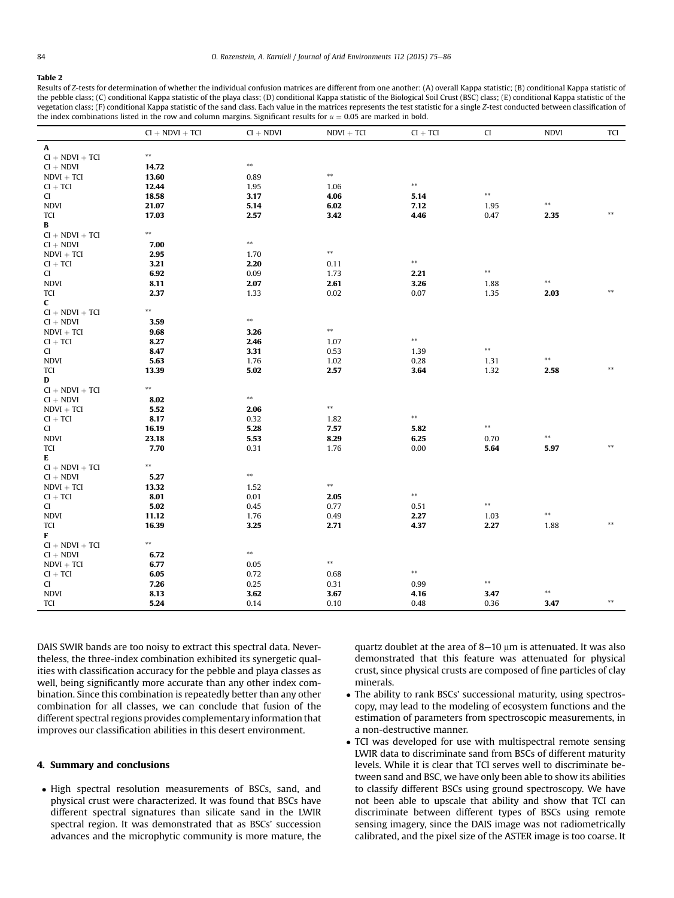#### <span id="page-9-0"></span>Table 2

Results of Z-tests for determination of whether the individual confusion matrices are different from one another: (A) overall Kappa statistic; (B) conditional Kappa statistic of the pebble class; (C) conditional Kappa statistic of the playa class; (D) conditional Kappa statistic of the Biological Soil Crust (BSC) class; (E) conditional Kappa statistic of the vegetation class; (F) conditional Kappa statistic of the sand class. Each value in the matrices represents the test statistic for a single Z-test conducted between classification of the index combinations listed in the row and column margins. Significant results for  $\alpha = 0.05$  are marked in bold.

| A<br>$***$<br>$CI + NDVI + TCI$<br>$\ast\ast$<br>$CI + NDVI$<br>14.72<br>$\ast\ast$<br>0.89<br>$NDVI + TCI$<br>13.60<br>$\ast\ast$<br>1.95<br>$CI + TCI$<br>12.44<br>1.06<br>$\ast\ast$<br>18.58<br>3.17<br>4.06<br>5.14<br>CI<br>$\ast\ast$<br><b>NDVI</b><br>21.07<br>5.14<br>6.02<br>7.12<br>1.95<br>$\ast\ast$<br>17.03<br>2.57<br>3.42<br>4.46<br>2.35<br>TCI<br>0.47<br>В<br>**<br>$CI + NDVI + TCI$<br>$\ast\ast$<br>7.00<br>$CI + NDVI$<br>$\ast\ast$<br>$NDVI + TCI$<br>2.95<br>1.70<br>$\ast\ast$<br>$CI + TCI$<br>3.21<br>2.20<br>0.11<br>$\ast\ast$<br>6.92<br>0.09<br>1.73<br>CI<br>2.21<br>$\ast\ast$<br><b>NDVI</b><br>8.11<br>2.07<br>2.61<br>3.26<br>1.88<br>$\ast\ast$<br>2.37<br>$0.02\,$<br>0.07<br>2.03<br>TCI<br>1.33<br>1.35<br>C<br>**<br>$CI + NDVI + TCI$<br>$\ast\ast$<br>$\text{CI} + \text{NDVI}$<br>3.59<br>$\ast\ast$<br>9.68<br>3.26<br>$NDVI + TCI$<br>$\ast\ast$<br>$CI + TCI$<br>8.27<br>2.46<br>1.07<br>**<br>8.47<br>3.31<br>0.53<br>1.39<br>CI<br>$\ast\ast$<br>5.63<br><b>NDVI</b><br>1.76<br>1.02<br>0.28<br>1.31<br>$\ast\ast$<br>13.39<br>5.02<br>2.57<br>3.64<br>1.32<br>2.58<br>TCI<br>D<br>**<br>$CI + NDVI + TCI$<br>$\ast\ast$<br>$CI + NDVI$<br>8.02<br>$\ast\ast$<br>$NDVI + TCI$<br>5.52<br>2.06<br>$\ast\ast$<br>8.17<br>0.32<br>$CI + TCI$<br>1.82<br>$\ast\ast$<br>16.19<br>5.28<br>7.57<br>5.82<br>CI.<br>$\ast\ast$<br>23.18<br>5.53<br>8.29<br>6.25<br><b>NDVI</b><br>0.70<br>$\ast\ast$<br>7.70<br>0.31<br>0.00<br>5.97<br>TCI<br>1.76<br>5.64<br>E<br>$***$<br>$CI + NDVI + TCI$<br>$\ast\ast$<br>$CI + NDVI$<br>5.27<br>$\ast\ast$<br>$NDVI + TCI$<br>13.32<br>1.52<br>$\ast\ast$<br>8.01<br>$CI + TCI$<br>0.01<br>2.05<br>$\ast\ast$<br>5.02<br>0.77<br>0.51<br>CI<br>0.45<br>$\ast\ast$<br><b>NDVI</b><br>11.12<br>1.76<br>0.49<br>2.27<br>1.03<br>$\ast\ast$<br>1.88<br>16.39<br>3.25<br>2.71<br>4.37<br>2.27<br>TCI<br>F<br>**<br>$CI + NDVI + TCI$<br>$\ast\ast$<br>$CI + NDVI$<br>6.72<br>$\ast\ast$<br>6.77<br>0.05<br>$NDVI + TCI$<br>$\ast\ast$<br>$\mathrm{CI}+\mathrm{TCI}$<br>6.05<br>0.72<br>0.68<br>$\ast\ast$<br>7.26<br>0.25<br>0.99<br>CI<br>0.31<br>$\ast\ast$<br><b>NDVI</b><br>8.13<br>3.62<br>3.67<br>4.16<br>3.47<br>$\ast\ast$<br>5.24<br>TCI<br>0.14<br>0.10<br>0.48<br>0.36<br>3.47 | $CI + NDVI + TCI$ | $CI + NDVI$ | $NDVI + TCI$ | $CI + TCI$ | CI | <b>NDVI</b> | TCI |
|-------------------------------------------------------------------------------------------------------------------------------------------------------------------------------------------------------------------------------------------------------------------------------------------------------------------------------------------------------------------------------------------------------------------------------------------------------------------------------------------------------------------------------------------------------------------------------------------------------------------------------------------------------------------------------------------------------------------------------------------------------------------------------------------------------------------------------------------------------------------------------------------------------------------------------------------------------------------------------------------------------------------------------------------------------------------------------------------------------------------------------------------------------------------------------------------------------------------------------------------------------------------------------------------------------------------------------------------------------------------------------------------------------------------------------------------------------------------------------------------------------------------------------------------------------------------------------------------------------------------------------------------------------------------------------------------------------------------------------------------------------------------------------------------------------------------------------------------------------------------------------------------------------------------------------------------------------------------------------------------------------------------------------------------------------------------------------------------------------------------------------------------------------------------------------------------------------------------------------------------------------------------------|-------------------|-------------|--------------|------------|----|-------------|-----|
|                                                                                                                                                                                                                                                                                                                                                                                                                                                                                                                                                                                                                                                                                                                                                                                                                                                                                                                                                                                                                                                                                                                                                                                                                                                                                                                                                                                                                                                                                                                                                                                                                                                                                                                                                                                                                                                                                                                                                                                                                                                                                                                                                                                                                                                                         |                   |             |              |            |    |             |     |
|                                                                                                                                                                                                                                                                                                                                                                                                                                                                                                                                                                                                                                                                                                                                                                                                                                                                                                                                                                                                                                                                                                                                                                                                                                                                                                                                                                                                                                                                                                                                                                                                                                                                                                                                                                                                                                                                                                                                                                                                                                                                                                                                                                                                                                                                         |                   |             |              |            |    |             |     |
|                                                                                                                                                                                                                                                                                                                                                                                                                                                                                                                                                                                                                                                                                                                                                                                                                                                                                                                                                                                                                                                                                                                                                                                                                                                                                                                                                                                                                                                                                                                                                                                                                                                                                                                                                                                                                                                                                                                                                                                                                                                                                                                                                                                                                                                                         |                   |             |              |            |    |             |     |
|                                                                                                                                                                                                                                                                                                                                                                                                                                                                                                                                                                                                                                                                                                                                                                                                                                                                                                                                                                                                                                                                                                                                                                                                                                                                                                                                                                                                                                                                                                                                                                                                                                                                                                                                                                                                                                                                                                                                                                                                                                                                                                                                                                                                                                                                         |                   |             |              |            |    |             |     |
|                                                                                                                                                                                                                                                                                                                                                                                                                                                                                                                                                                                                                                                                                                                                                                                                                                                                                                                                                                                                                                                                                                                                                                                                                                                                                                                                                                                                                                                                                                                                                                                                                                                                                                                                                                                                                                                                                                                                                                                                                                                                                                                                                                                                                                                                         |                   |             |              |            |    |             |     |
|                                                                                                                                                                                                                                                                                                                                                                                                                                                                                                                                                                                                                                                                                                                                                                                                                                                                                                                                                                                                                                                                                                                                                                                                                                                                                                                                                                                                                                                                                                                                                                                                                                                                                                                                                                                                                                                                                                                                                                                                                                                                                                                                                                                                                                                                         |                   |             |              |            |    |             |     |
|                                                                                                                                                                                                                                                                                                                                                                                                                                                                                                                                                                                                                                                                                                                                                                                                                                                                                                                                                                                                                                                                                                                                                                                                                                                                                                                                                                                                                                                                                                                                                                                                                                                                                                                                                                                                                                                                                                                                                                                                                                                                                                                                                                                                                                                                         |                   |             |              |            |    |             |     |
|                                                                                                                                                                                                                                                                                                                                                                                                                                                                                                                                                                                                                                                                                                                                                                                                                                                                                                                                                                                                                                                                                                                                                                                                                                                                                                                                                                                                                                                                                                                                                                                                                                                                                                                                                                                                                                                                                                                                                                                                                                                                                                                                                                                                                                                                         |                   |             |              |            |    |             |     |
|                                                                                                                                                                                                                                                                                                                                                                                                                                                                                                                                                                                                                                                                                                                                                                                                                                                                                                                                                                                                                                                                                                                                                                                                                                                                                                                                                                                                                                                                                                                                                                                                                                                                                                                                                                                                                                                                                                                                                                                                                                                                                                                                                                                                                                                                         |                   |             |              |            |    |             |     |
|                                                                                                                                                                                                                                                                                                                                                                                                                                                                                                                                                                                                                                                                                                                                                                                                                                                                                                                                                                                                                                                                                                                                                                                                                                                                                                                                                                                                                                                                                                                                                                                                                                                                                                                                                                                                                                                                                                                                                                                                                                                                                                                                                                                                                                                                         |                   |             |              |            |    |             |     |
|                                                                                                                                                                                                                                                                                                                                                                                                                                                                                                                                                                                                                                                                                                                                                                                                                                                                                                                                                                                                                                                                                                                                                                                                                                                                                                                                                                                                                                                                                                                                                                                                                                                                                                                                                                                                                                                                                                                                                                                                                                                                                                                                                                                                                                                                         |                   |             |              |            |    |             |     |
|                                                                                                                                                                                                                                                                                                                                                                                                                                                                                                                                                                                                                                                                                                                                                                                                                                                                                                                                                                                                                                                                                                                                                                                                                                                                                                                                                                                                                                                                                                                                                                                                                                                                                                                                                                                                                                                                                                                                                                                                                                                                                                                                                                                                                                                                         |                   |             |              |            |    |             |     |
|                                                                                                                                                                                                                                                                                                                                                                                                                                                                                                                                                                                                                                                                                                                                                                                                                                                                                                                                                                                                                                                                                                                                                                                                                                                                                                                                                                                                                                                                                                                                                                                                                                                                                                                                                                                                                                                                                                                                                                                                                                                                                                                                                                                                                                                                         |                   |             |              |            |    |             |     |
|                                                                                                                                                                                                                                                                                                                                                                                                                                                                                                                                                                                                                                                                                                                                                                                                                                                                                                                                                                                                                                                                                                                                                                                                                                                                                                                                                                                                                                                                                                                                                                                                                                                                                                                                                                                                                                                                                                                                                                                                                                                                                                                                                                                                                                                                         |                   |             |              |            |    |             |     |
|                                                                                                                                                                                                                                                                                                                                                                                                                                                                                                                                                                                                                                                                                                                                                                                                                                                                                                                                                                                                                                                                                                                                                                                                                                                                                                                                                                                                                                                                                                                                                                                                                                                                                                                                                                                                                                                                                                                                                                                                                                                                                                                                                                                                                                                                         |                   |             |              |            |    |             |     |
|                                                                                                                                                                                                                                                                                                                                                                                                                                                                                                                                                                                                                                                                                                                                                                                                                                                                                                                                                                                                                                                                                                                                                                                                                                                                                                                                                                                                                                                                                                                                                                                                                                                                                                                                                                                                                                                                                                                                                                                                                                                                                                                                                                                                                                                                         |                   |             |              |            |    |             |     |
|                                                                                                                                                                                                                                                                                                                                                                                                                                                                                                                                                                                                                                                                                                                                                                                                                                                                                                                                                                                                                                                                                                                                                                                                                                                                                                                                                                                                                                                                                                                                                                                                                                                                                                                                                                                                                                                                                                                                                                                                                                                                                                                                                                                                                                                                         |                   |             |              |            |    |             |     |
|                                                                                                                                                                                                                                                                                                                                                                                                                                                                                                                                                                                                                                                                                                                                                                                                                                                                                                                                                                                                                                                                                                                                                                                                                                                                                                                                                                                                                                                                                                                                                                                                                                                                                                                                                                                                                                                                                                                                                                                                                                                                                                                                                                                                                                                                         |                   |             |              |            |    |             |     |
|                                                                                                                                                                                                                                                                                                                                                                                                                                                                                                                                                                                                                                                                                                                                                                                                                                                                                                                                                                                                                                                                                                                                                                                                                                                                                                                                                                                                                                                                                                                                                                                                                                                                                                                                                                                                                                                                                                                                                                                                                                                                                                                                                                                                                                                                         |                   |             |              |            |    |             |     |
|                                                                                                                                                                                                                                                                                                                                                                                                                                                                                                                                                                                                                                                                                                                                                                                                                                                                                                                                                                                                                                                                                                                                                                                                                                                                                                                                                                                                                                                                                                                                                                                                                                                                                                                                                                                                                                                                                                                                                                                                                                                                                                                                                                                                                                                                         |                   |             |              |            |    |             |     |
|                                                                                                                                                                                                                                                                                                                                                                                                                                                                                                                                                                                                                                                                                                                                                                                                                                                                                                                                                                                                                                                                                                                                                                                                                                                                                                                                                                                                                                                                                                                                                                                                                                                                                                                                                                                                                                                                                                                                                                                                                                                                                                                                                                                                                                                                         |                   |             |              |            |    |             |     |
|                                                                                                                                                                                                                                                                                                                                                                                                                                                                                                                                                                                                                                                                                                                                                                                                                                                                                                                                                                                                                                                                                                                                                                                                                                                                                                                                                                                                                                                                                                                                                                                                                                                                                                                                                                                                                                                                                                                                                                                                                                                                                                                                                                                                                                                                         |                   |             |              |            |    |             |     |
|                                                                                                                                                                                                                                                                                                                                                                                                                                                                                                                                                                                                                                                                                                                                                                                                                                                                                                                                                                                                                                                                                                                                                                                                                                                                                                                                                                                                                                                                                                                                                                                                                                                                                                                                                                                                                                                                                                                                                                                                                                                                                                                                                                                                                                                                         |                   |             |              |            |    |             |     |
|                                                                                                                                                                                                                                                                                                                                                                                                                                                                                                                                                                                                                                                                                                                                                                                                                                                                                                                                                                                                                                                                                                                                                                                                                                                                                                                                                                                                                                                                                                                                                                                                                                                                                                                                                                                                                                                                                                                                                                                                                                                                                                                                                                                                                                                                         |                   |             |              |            |    |             |     |
|                                                                                                                                                                                                                                                                                                                                                                                                                                                                                                                                                                                                                                                                                                                                                                                                                                                                                                                                                                                                                                                                                                                                                                                                                                                                                                                                                                                                                                                                                                                                                                                                                                                                                                                                                                                                                                                                                                                                                                                                                                                                                                                                                                                                                                                                         |                   |             |              |            |    |             |     |
|                                                                                                                                                                                                                                                                                                                                                                                                                                                                                                                                                                                                                                                                                                                                                                                                                                                                                                                                                                                                                                                                                                                                                                                                                                                                                                                                                                                                                                                                                                                                                                                                                                                                                                                                                                                                                                                                                                                                                                                                                                                                                                                                                                                                                                                                         |                   |             |              |            |    |             |     |
|                                                                                                                                                                                                                                                                                                                                                                                                                                                                                                                                                                                                                                                                                                                                                                                                                                                                                                                                                                                                                                                                                                                                                                                                                                                                                                                                                                                                                                                                                                                                                                                                                                                                                                                                                                                                                                                                                                                                                                                                                                                                                                                                                                                                                                                                         |                   |             |              |            |    |             |     |
|                                                                                                                                                                                                                                                                                                                                                                                                                                                                                                                                                                                                                                                                                                                                                                                                                                                                                                                                                                                                                                                                                                                                                                                                                                                                                                                                                                                                                                                                                                                                                                                                                                                                                                                                                                                                                                                                                                                                                                                                                                                                                                                                                                                                                                                                         |                   |             |              |            |    |             |     |
|                                                                                                                                                                                                                                                                                                                                                                                                                                                                                                                                                                                                                                                                                                                                                                                                                                                                                                                                                                                                                                                                                                                                                                                                                                                                                                                                                                                                                                                                                                                                                                                                                                                                                                                                                                                                                                                                                                                                                                                                                                                                                                                                                                                                                                                                         |                   |             |              |            |    |             |     |
|                                                                                                                                                                                                                                                                                                                                                                                                                                                                                                                                                                                                                                                                                                                                                                                                                                                                                                                                                                                                                                                                                                                                                                                                                                                                                                                                                                                                                                                                                                                                                                                                                                                                                                                                                                                                                                                                                                                                                                                                                                                                                                                                                                                                                                                                         |                   |             |              |            |    |             |     |
|                                                                                                                                                                                                                                                                                                                                                                                                                                                                                                                                                                                                                                                                                                                                                                                                                                                                                                                                                                                                                                                                                                                                                                                                                                                                                                                                                                                                                                                                                                                                                                                                                                                                                                                                                                                                                                                                                                                                                                                                                                                                                                                                                                                                                                                                         |                   |             |              |            |    |             |     |
|                                                                                                                                                                                                                                                                                                                                                                                                                                                                                                                                                                                                                                                                                                                                                                                                                                                                                                                                                                                                                                                                                                                                                                                                                                                                                                                                                                                                                                                                                                                                                                                                                                                                                                                                                                                                                                                                                                                                                                                                                                                                                                                                                                                                                                                                         |                   |             |              |            |    |             |     |
|                                                                                                                                                                                                                                                                                                                                                                                                                                                                                                                                                                                                                                                                                                                                                                                                                                                                                                                                                                                                                                                                                                                                                                                                                                                                                                                                                                                                                                                                                                                                                                                                                                                                                                                                                                                                                                                                                                                                                                                                                                                                                                                                                                                                                                                                         |                   |             |              |            |    |             |     |
|                                                                                                                                                                                                                                                                                                                                                                                                                                                                                                                                                                                                                                                                                                                                                                                                                                                                                                                                                                                                                                                                                                                                                                                                                                                                                                                                                                                                                                                                                                                                                                                                                                                                                                                                                                                                                                                                                                                                                                                                                                                                                                                                                                                                                                                                         |                   |             |              |            |    |             |     |
|                                                                                                                                                                                                                                                                                                                                                                                                                                                                                                                                                                                                                                                                                                                                                                                                                                                                                                                                                                                                                                                                                                                                                                                                                                                                                                                                                                                                                                                                                                                                                                                                                                                                                                                                                                                                                                                                                                                                                                                                                                                                                                                                                                                                                                                                         |                   |             |              |            |    |             |     |
|                                                                                                                                                                                                                                                                                                                                                                                                                                                                                                                                                                                                                                                                                                                                                                                                                                                                                                                                                                                                                                                                                                                                                                                                                                                                                                                                                                                                                                                                                                                                                                                                                                                                                                                                                                                                                                                                                                                                                                                                                                                                                                                                                                                                                                                                         |                   |             |              |            |    |             |     |
|                                                                                                                                                                                                                                                                                                                                                                                                                                                                                                                                                                                                                                                                                                                                                                                                                                                                                                                                                                                                                                                                                                                                                                                                                                                                                                                                                                                                                                                                                                                                                                                                                                                                                                                                                                                                                                                                                                                                                                                                                                                                                                                                                                                                                                                                         |                   |             |              |            |    |             |     |
|                                                                                                                                                                                                                                                                                                                                                                                                                                                                                                                                                                                                                                                                                                                                                                                                                                                                                                                                                                                                                                                                                                                                                                                                                                                                                                                                                                                                                                                                                                                                                                                                                                                                                                                                                                                                                                                                                                                                                                                                                                                                                                                                                                                                                                                                         |                   |             |              |            |    |             |     |
|                                                                                                                                                                                                                                                                                                                                                                                                                                                                                                                                                                                                                                                                                                                                                                                                                                                                                                                                                                                                                                                                                                                                                                                                                                                                                                                                                                                                                                                                                                                                                                                                                                                                                                                                                                                                                                                                                                                                                                                                                                                                                                                                                                                                                                                                         |                   |             |              |            |    |             |     |
|                                                                                                                                                                                                                                                                                                                                                                                                                                                                                                                                                                                                                                                                                                                                                                                                                                                                                                                                                                                                                                                                                                                                                                                                                                                                                                                                                                                                                                                                                                                                                                                                                                                                                                                                                                                                                                                                                                                                                                                                                                                                                                                                                                                                                                                                         |                   |             |              |            |    |             |     |
|                                                                                                                                                                                                                                                                                                                                                                                                                                                                                                                                                                                                                                                                                                                                                                                                                                                                                                                                                                                                                                                                                                                                                                                                                                                                                                                                                                                                                                                                                                                                                                                                                                                                                                                                                                                                                                                                                                                                                                                                                                                                                                                                                                                                                                                                         |                   |             |              |            |    |             |     |
|                                                                                                                                                                                                                                                                                                                                                                                                                                                                                                                                                                                                                                                                                                                                                                                                                                                                                                                                                                                                                                                                                                                                                                                                                                                                                                                                                                                                                                                                                                                                                                                                                                                                                                                                                                                                                                                                                                                                                                                                                                                                                                                                                                                                                                                                         |                   |             |              |            |    |             |     |
|                                                                                                                                                                                                                                                                                                                                                                                                                                                                                                                                                                                                                                                                                                                                                                                                                                                                                                                                                                                                                                                                                                                                                                                                                                                                                                                                                                                                                                                                                                                                                                                                                                                                                                                                                                                                                                                                                                                                                                                                                                                                                                                                                                                                                                                                         |                   |             |              |            |    |             |     |
|                                                                                                                                                                                                                                                                                                                                                                                                                                                                                                                                                                                                                                                                                                                                                                                                                                                                                                                                                                                                                                                                                                                                                                                                                                                                                                                                                                                                                                                                                                                                                                                                                                                                                                                                                                                                                                                                                                                                                                                                                                                                                                                                                                                                                                                                         |                   |             |              |            |    |             |     |
|                                                                                                                                                                                                                                                                                                                                                                                                                                                                                                                                                                                                                                                                                                                                                                                                                                                                                                                                                                                                                                                                                                                                                                                                                                                                                                                                                                                                                                                                                                                                                                                                                                                                                                                                                                                                                                                                                                                                                                                                                                                                                                                                                                                                                                                                         |                   |             |              |            |    |             |     |
|                                                                                                                                                                                                                                                                                                                                                                                                                                                                                                                                                                                                                                                                                                                                                                                                                                                                                                                                                                                                                                                                                                                                                                                                                                                                                                                                                                                                                                                                                                                                                                                                                                                                                                                                                                                                                                                                                                                                                                                                                                                                                                                                                                                                                                                                         |                   |             |              |            |    |             |     |
|                                                                                                                                                                                                                                                                                                                                                                                                                                                                                                                                                                                                                                                                                                                                                                                                                                                                                                                                                                                                                                                                                                                                                                                                                                                                                                                                                                                                                                                                                                                                                                                                                                                                                                                                                                                                                                                                                                                                                                                                                                                                                                                                                                                                                                                                         |                   |             |              |            |    |             |     |
|                                                                                                                                                                                                                                                                                                                                                                                                                                                                                                                                                                                                                                                                                                                                                                                                                                                                                                                                                                                                                                                                                                                                                                                                                                                                                                                                                                                                                                                                                                                                                                                                                                                                                                                                                                                                                                                                                                                                                                                                                                                                                                                                                                                                                                                                         |                   |             |              |            |    |             |     |

DAIS SWIR bands are too noisy to extract this spectral data. Nevertheless, the three-index combination exhibited its synergetic qualities with classification accuracy for the pebble and playa classes as well, being significantly more accurate than any other index combination. Since this combination is repeatedly better than any other combination for all classes, we can conclude that fusion of the different spectral regions provides complementary information that improves our classification abilities in this desert environment.

#### 4. Summary and conclusions

• High spectral resolution measurements of BSCs, sand, and physical crust were characterized. It was found that BSCs have different spectral signatures than silicate sand in the LWIR spectral region. It was demonstrated that as BSCs' succession advances and the microphytic community is more mature, the quartz doublet at the area of  $8-10 \mu m$  is attenuated. It was also demonstrated that this feature was attenuated for physical crust, since physical crusts are composed of fine particles of clay minerals.

- The ability to rank BSCs' successional maturity, using spectroscopy, may lead to the modeling of ecosystem functions and the estimation of parameters from spectroscopic measurements, in a non-destructive manner.
- TCI was developed for use with multispectral remote sensing LWIR data to discriminate sand from BSCs of different maturity levels. While it is clear that TCI serves well to discriminate between sand and BSC, we have only been able to show its abilities to classify different BSCs using ground spectroscopy. We have not been able to upscale that ability and show that TCI can discriminate between different types of BSCs using remote sensing imagery, since the DAIS image was not radiometrically calibrated, and the pixel size of the ASTER image is too coarse. It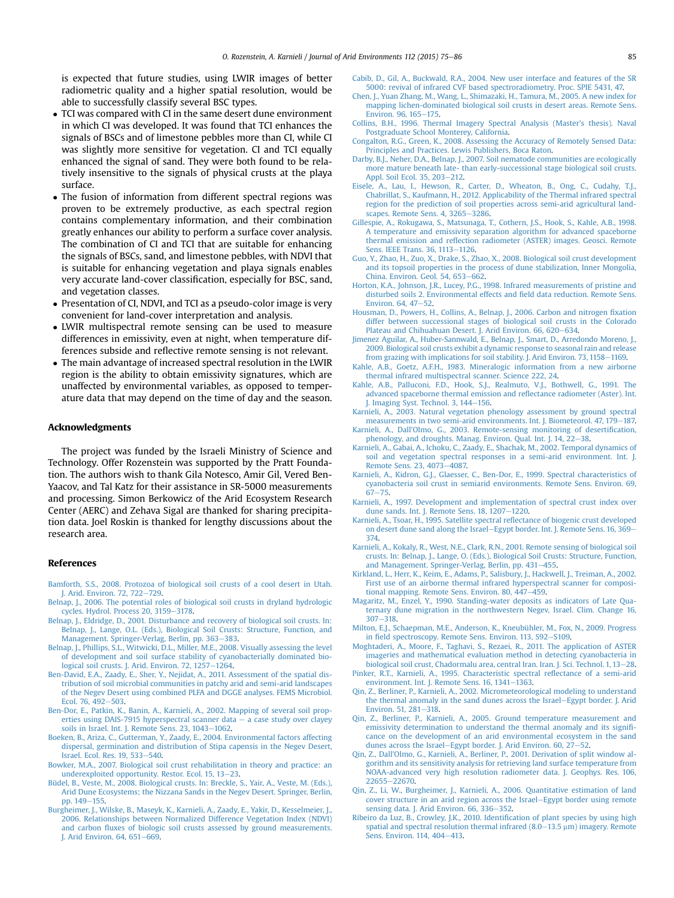<span id="page-10-0"></span>is expected that future studies, using LWIR images of better radiometric quality and a higher spatial resolution, would be able to successfully classify several BSC types.

- TCI was compared with CI in the same desert dune environment in which CI was developed. It was found that TCI enhances the signals of BSCs and of limestone pebbles more than CI, while CI was slightly more sensitive for vegetation. CI and TCI equally enhanced the signal of sand. They were both found to be relatively insensitive to the signals of physical crusts at the playa surface.
- The fusion of information from different spectral regions was proven to be extremely productive, as each spectral region contains complementary information, and their combination greatly enhances our ability to perform a surface cover analysis. The combination of CI and TCI that are suitable for enhancing the signals of BSCs, sand, and limestone pebbles, with NDVI that is suitable for enhancing vegetation and playa signals enables very accurate land-cover classification, especially for BSC, sand, and vegetation classes.
- Presentation of CI, NDVI, and TCI as a pseudo-color image is very convenient for land-cover interpretation and analysis.
- LWIR multispectral remote sensing can be used to measure differences in emissivity, even at night, when temperature differences subside and reflective remote sensing is not relevant.
- The main advantage of increased spectral resolution in the LWIR region is the ability to obtain emissivity signatures, which are unaffected by environmental variables, as opposed to temperature data that may depend on the time of day and the season.

#### Acknowledgments

The project was funded by the Israeli Ministry of Science and Technology. Offer Rozenstein was supported by the Pratt Foundation. The authors wish to thank Gila Notesco, Amir Gil, Vered Ben-Yaacov, and Tal Katz for their assistance in SR-5000 measurements and processing. Simon Berkowicz of the Arid Ecosystem Research Center (AERC) and Zehava Sigal are thanked for sharing precipitation data. Joel Roskin is thanked for lengthy discussions about the research area.

#### References

- [Bamforth, S.S., 2008. Protozoa of biological soil crusts of a cool desert in Utah.](http://refhub.elsevier.com/S0140-1963(14)00028-7/sref1) [J. Arid. Environ. 72, 722](http://refhub.elsevier.com/S0140-1963(14)00028-7/sref1)-[729.](http://refhub.elsevier.com/S0140-1963(14)00028-7/sref1)
- [Belnap, J., 2006. The potential roles of biological soil crusts in dryland hydrologic](http://refhub.elsevier.com/S0140-1963(14)00028-7/sref2)  $cycles.$  Hydrol. Process  $20.3159-3178.$  $20.3159-3178.$  $20.3159-3178.$
- [Belnap, J., Eldridge, D., 2001. Disturbance and recovery of biological soil crusts. In:](http://refhub.elsevier.com/S0140-1963(14)00028-7/sref3) [Belnap, J., Lange, O.L. \(Eds.\), Biological Soil Crusts: Structure, Function, and](http://refhub.elsevier.com/S0140-1963(14)00028-7/sref3) [Management. Springer-Verlag, Berlin, pp. 363](http://refhub.elsevier.com/S0140-1963(14)00028-7/sref3)-[383.](http://refhub.elsevier.com/S0140-1963(14)00028-7/sref3)
- [Belnap, J., Phillips, S.L., Witwicki, D.L., Miller, M.E., 2008. Visually assessing the level](http://refhub.elsevier.com/S0140-1963(14)00028-7/sref4) [of development and soil surface stability of cyanobacterially dominated bio](http://refhub.elsevier.com/S0140-1963(14)00028-7/sref4)[logical soil crusts. J. Arid. Environ. 72, 1257](http://refhub.elsevier.com/S0140-1963(14)00028-7/sref4)-[1264](http://refhub.elsevier.com/S0140-1963(14)00028-7/sref4).
- [Ben-David, E.A., Zaady, E., Sher, Y., Nejidat, A., 2011. Assessment of the spatial dis](http://refhub.elsevier.com/S0140-1963(14)00028-7/sref5)[tribution of soil microbial communities in patchy arid and semi-arid landscapes](http://refhub.elsevier.com/S0140-1963(14)00028-7/sref5) [of the Negev Desert using combined PLFA and DGGE analyses. FEMS Microbiol.](http://refhub.elsevier.com/S0140-1963(14)00028-7/sref5) [Ecol. 76, 492](http://refhub.elsevier.com/S0140-1963(14)00028-7/sref5)-[503.](http://refhub.elsevier.com/S0140-1963(14)00028-7/sref5)
- [Ben-Dor, E., Patkin, K., Banin, A., Karnieli, A., 2002. Mapping of several soil prop](http://refhub.elsevier.com/S0140-1963(14)00028-7/sref6)[erties using DAIS-7915 hyperspectral scanner data](http://refhub.elsevier.com/S0140-1963(14)00028-7/sref6)  $-$  [a case study over clayey](http://refhub.elsevier.com/S0140-1963(14)00028-7/sref6) [soils in Israel. Int. J. Remote Sens. 23, 1043](http://refhub.elsevier.com/S0140-1963(14)00028-7/sref6)-[1062.](http://refhub.elsevier.com/S0140-1963(14)00028-7/sref6)
- [Boeken, B., Ariza, C., Gutterman, Y., Zaady, E., 2004. Environmental factors affecting](http://refhub.elsevier.com/S0140-1963(14)00028-7/sref7) [dispersal, germination and distribution of Stipa capensis in the Negev Desert,](http://refhub.elsevier.com/S0140-1963(14)00028-7/sref7) [Israel. Ecol. Res. 19, 533](http://refhub.elsevier.com/S0140-1963(14)00028-7/sref7)-[540.](http://refhub.elsevier.com/S0140-1963(14)00028-7/sref7)
- [Bowker, M.A., 2007. Biological soil crust rehabilitation in theory and practice: an](http://refhub.elsevier.com/S0140-1963(14)00028-7/sref8) [underexploited opportunity. Restor. Ecol. 15, 13](http://refhub.elsevier.com/S0140-1963(14)00028-7/sref8)-[23.](http://refhub.elsevier.com/S0140-1963(14)00028-7/sref8)
- [Büdel, B., Veste, M., 2008. Biological crusts. In: Breckle, S., Yair, A., Veste, M. \(Eds.\),](http://refhub.elsevier.com/S0140-1963(14)00028-7/sref9) [Arid Dune Ecosystems; the Nizzana Sands in the Negev Desert. Springer, Berlin,](http://refhub.elsevier.com/S0140-1963(14)00028-7/sref9) [pp. 149](http://refhub.elsevier.com/S0140-1963(14)00028-7/sref9)-[155](http://refhub.elsevier.com/S0140-1963(14)00028-7/sref9).
- [Burgheimer, J., Wilske, B., Maseyk, K., Karnieli, A., Zaady, E., Yakir, D., Kesselmeier, J.,](http://refhub.elsevier.com/S0140-1963(14)00028-7/sref10) [2006. Relationships between Normalized Difference Vegetation Index \(NDVI\)](http://refhub.elsevier.com/S0140-1963(14)00028-7/sref10) and carbon fl[uxes of biologic soil crusts assessed by ground measurements.](http://refhub.elsevier.com/S0140-1963(14)00028-7/sref10) [J. Arid Environ. 64, 651](http://refhub.elsevier.com/S0140-1963(14)00028-7/sref10)-[669.](http://refhub.elsevier.com/S0140-1963(14)00028-7/sref10)
- [Cabib, D., Gil, A., Buckwald, R.A., 2004. New user interface and features of the SR](http://refhub.elsevier.com/S0140-1963(14)00028-7/sref11) [5000: revival of infrared CVF based spectroradiometry. Proc. SPIE 5431, 47.](http://refhub.elsevier.com/S0140-1963(14)00028-7/sref11)
- [Chen, J., Yuan Zhang, M., Wang, L., Shimazaki, H., Tamura, M., 2005. A new index for](http://refhub.elsevier.com/S0140-1963(14)00028-7/sref12) [mapping lichen-dominated biological soil crusts in desert areas. Remote Sens.](http://refhub.elsevier.com/S0140-1963(14)00028-7/sref12) [Environ. 96, 165](http://refhub.elsevier.com/S0140-1963(14)00028-7/sref12)-[175.](http://refhub.elsevier.com/S0140-1963(14)00028-7/sref12)
- [Collins, B.H., 1996. Thermal Imagery Spectral Analysis \(Master](http://refhub.elsevier.com/S0140-1963(14)00028-7/sref13)'s thesis). Naval [Postgraduate School Monterey, California](http://refhub.elsevier.com/S0140-1963(14)00028-7/sref13).
- [Congalton, R.G., Green, K., 2008. Assessing the Accuracy of Remotely Sensed Data:](http://refhub.elsevier.com/S0140-1963(14)00028-7/sref14) [Principles and Practices. Lewis Publishers, Boca Raton](http://refhub.elsevier.com/S0140-1963(14)00028-7/sref14).
- [Darby, B.J., Neher, D.A., Belnap, J., 2007. Soil nematode communities are ecologically](http://refhub.elsevier.com/S0140-1963(14)00028-7/sref15) [more mature beneath late- than early-successional stage biological soil crusts.](http://refhub.elsevier.com/S0140-1963(14)00028-7/sref15) [Appl. Soil Ecol. 35, 203](http://refhub.elsevier.com/S0140-1963(14)00028-7/sref15)-[212](http://refhub.elsevier.com/S0140-1963(14)00028-7/sref15).
- [Eisele, A., Lau, I., Hewson, R., Carter, D., Wheaton, B., Ong, C., Cudahy, T.J.,](http://refhub.elsevier.com/S0140-1963(14)00028-7/sref16) [Chabrillat, S., Kaufmann, H., 2012. Applicability of the Thermal infrared spectral](http://refhub.elsevier.com/S0140-1963(14)00028-7/sref16) [region for the prediction of soil properties across semi-arid agricultural land](http://refhub.elsevier.com/S0140-1963(14)00028-7/sref16)scapes. Remote Sens.  $4.3265 - 3286$  $4.3265 - 3286$ .
- [Gillespie, A., Rokugawa, S., Matsunaga, T., Cothern, J.S., Hook, S., Kahle, A.B., 1998.](http://refhub.elsevier.com/S0140-1963(14)00028-7/sref17) [A temperature and emissivity separation algorithm for advanced spaceborne](http://refhub.elsevier.com/S0140-1963(14)00028-7/sref17) thermal emission and refl[ection radiometer \(ASTER\) images. Geosci. Remote](http://refhub.elsevier.com/S0140-1963(14)00028-7/sref17) [Sens. IEEE Trans. 36, 1113](http://refhub.elsevier.com/S0140-1963(14)00028-7/sref17)-[1126.](http://refhub.elsevier.com/S0140-1963(14)00028-7/sref17)
- [Guo, Y., Zhao, H., Zuo, X., Drake, S., Zhao, X., 2008. Biological soil crust development](http://refhub.elsevier.com/S0140-1963(14)00028-7/sref18) [and its topsoil properties in the process of dune stabilization, Inner Mongolia,](http://refhub.elsevier.com/S0140-1963(14)00028-7/sref18) China. [Environ. Geol. 54, 653](http://refhub.elsevier.com/S0140-1963(14)00028-7/sref18)-[662](http://refhub.elsevier.com/S0140-1963(14)00028-7/sref18).
- [Horton, K.A., Johnson, J.R., Lucey, P.G., 1998. Infrared measurements of pristine and](http://refhub.elsevier.com/S0140-1963(14)00028-7/sref19) [disturbed soils 2. Environmental effects and](http://refhub.elsevier.com/S0140-1963(14)00028-7/sref19) field data reduction. Remote Sens. Environ.  $64$ ,  $47-52$  $47-52$ .
- [Housman, D., Powers, H., Collins, A., Belnap, J., 2006. Carbon and nitrogen](http://refhub.elsevier.com/S0140-1963(14)00028-7/sref20) fixation [differ between successional stages of biological soil crusts in the Colorado](http://refhub.elsevier.com/S0140-1963(14)00028-7/sref20) [Plateau and Chihuahuan Desert. J. Arid Environ. 66, 620](http://refhub.elsevier.com/S0140-1963(14)00028-7/sref20)–[634.](http://refhub.elsevier.com/S0140-1963(14)00028-7/sref20)
- [Jimenez Aguilar, A., Huber-Sannwald, E., Belnap, J., Smart, D., Arredondo Moreno, J.,](http://refhub.elsevier.com/S0140-1963(14)00028-7/sref21) [2009. Biological soil crusts exhibit a dynamic response to seasonal rain and release](http://refhub.elsevier.com/S0140-1963(14)00028-7/sref21) [from grazing with implications for soil stability. J. Arid Environ. 73, 1158](http://refhub.elsevier.com/S0140-1963(14)00028-7/sref21)-[1169.](http://refhub.elsevier.com/S0140-1963(14)00028-7/sref21)
- [Kahle, A.B., Goetz, A.F.H., 1983. Mineralogic information from a new airborne](http://refhub.elsevier.com/S0140-1963(14)00028-7/sref22) [thermal infrared multispectral scanner. Science 222, 24](http://refhub.elsevier.com/S0140-1963(14)00028-7/sref22).
- [Kahle, A.B., Palluconi, F.D., Hook, S.J., Realmuto, V.J., Bothwell, G., 1991. The](http://refhub.elsevier.com/S0140-1963(14)00028-7/sref23) [advanced spaceborne thermal emission and re](http://refhub.elsevier.com/S0140-1963(14)00028-7/sref23)flectance radiometer (Aster). Int. [J. Imaging Syst. Technol. 3, 144](http://refhub.elsevier.com/S0140-1963(14)00028-7/sref23)-[156](http://refhub.elsevier.com/S0140-1963(14)00028-7/sref23).
- [Karnieli, A., 2003. Natural vegetation phenology assessment by ground spectral](http://refhub.elsevier.com/S0140-1963(14)00028-7/sref24) [measurements in two semi-arid environments. Int. J. Biometeorol. 47, 179](http://refhub.elsevier.com/S0140-1963(14)00028-7/sref24)-[187.](http://refhub.elsevier.com/S0140-1963(14)00028-7/sref24)
- Karnieli, A., Dall'[Olmo, G., 2003. Remote-sensing monitoring of deserti](http://refhub.elsevier.com/S0140-1963(14)00028-7/sref25)fication, [phenology, and droughts. Manag. Environ. Qual. Int. J. 14, 22](http://refhub.elsevier.com/S0140-1963(14)00028-7/sref25)-[38.](http://refhub.elsevier.com/S0140-1963(14)00028-7/sref25)
- [Karnieli, A., Gabai, A., Ichoku, C., Zaady, E., Shachak, M., 2002. Temporal dynamics of](http://refhub.elsevier.com/S0140-1963(14)00028-7/sref26) [soil and vegetation spectral responses in a semi-arid environment. Int. J.](http://refhub.elsevier.com/S0140-1963(14)00028-7/sref26) [Remote Sens. 23, 4073](http://refhub.elsevier.com/S0140-1963(14)00028-7/sref26)-[4087.](http://refhub.elsevier.com/S0140-1963(14)00028-7/sref26)
- [Karnieli, A., Kidron, G.J., Glaesser, C., Ben-Dor, E., 1999. Spectral characteristics of](http://refhub.elsevier.com/S0140-1963(14)00028-7/sref27) [cyanobacteria soil crust in semiarid environments. Remote Sens. Environ. 69,](http://refhub.elsevier.com/S0140-1963(14)00028-7/sref27)  $67 - 75$  $67 - 75$
- [Karnieli, A., 1997. Development and implementation of spectral crust index over](http://refhub.elsevier.com/S0140-1963(14)00028-7/sref28) [dune sands. Int. J. Remote Sens. 18, 1207](http://refhub.elsevier.com/S0140-1963(14)00028-7/sref28)-[1220.](http://refhub.elsevier.com/S0140-1963(14)00028-7/sref28)
- [Karnieli, A., Tsoar, H., 1995. Satellite spectral re](http://refhub.elsevier.com/S0140-1963(14)00028-7/sref29)flectance of biogenic crust developed [on desert dune sand along the Israel](http://refhub.elsevier.com/S0140-1963(14)00028-7/sref29)-[Egypt border. Int. J. Remote Sens. 16, 369](http://refhub.elsevier.com/S0140-1963(14)00028-7/sref29)-[374](http://refhub.elsevier.com/S0140-1963(14)00028-7/sref29).
- [Karnieli, A., Kokaly, R., West, N.E., Clark, R.N., 2001. Remote sensing of biological soil](http://refhub.elsevier.com/S0140-1963(14)00028-7/sref30) [crusts. In: Belnap, J., Lange, O. \(Eds.\), Biological Soil Crusts: Structure, Function,](http://refhub.elsevier.com/S0140-1963(14)00028-7/sref30) [and Management. Springer-Verlag, Berlin, pp. 431](http://refhub.elsevier.com/S0140-1963(14)00028-7/sref30)-[455.](http://refhub.elsevier.com/S0140-1963(14)00028-7/sref30)
- [Kirkland, L., Herr, K., Keim, E., Adams, P., Salisbury, J., Hackwell, J., Treiman, A., 2002.](http://refhub.elsevier.com/S0140-1963(14)00028-7/sref31) [First use of an airborne thermal infrared hyperspectral scanner for composi](http://refhub.elsevier.com/S0140-1963(14)00028-7/sref31)[tional mapping. Remote Sens. Environ. 80, 447](http://refhub.elsevier.com/S0140-1963(14)00028-7/sref31)-[459](http://refhub.elsevier.com/S0140-1963(14)00028-7/sref31).
- [Magaritz, M., Enzel, Y., 1990. Standing-water deposits as indicators of Late Qua](http://refhub.elsevier.com/S0140-1963(14)00028-7/sref32)[ternary dune migration in the northwestern Negev, Israel. Clim. Change 16,](http://refhub.elsevier.com/S0140-1963(14)00028-7/sref32)  $307 - 318$  $307 - 318$  $307 - 318$
- [Milton, E.J., Schaepman, M.E., Anderson, K., Kneubühler, M., Fox, N., 2009. Progress](http://refhub.elsevier.com/S0140-1963(14)00028-7/sref33) in fi[eld spectroscopy. Remote Sens. Environ. 113, S92](http://refhub.elsevier.com/S0140-1963(14)00028-7/sref33)-[S109.](http://refhub.elsevier.com/S0140-1963(14)00028-7/sref33)
- [Moghtaderi, A., Moore, F., Taghavi, S., Rezaei, R., 2011. The application of ASTER](http://refhub.elsevier.com/S0140-1963(14)00028-7/sref34) [imageries and mathematical evaluation method in detecting cyanobacteria in](http://refhub.elsevier.com/S0140-1963(14)00028-7/sref34) [biological soil crust, Chadormalu area, central Iran. Iran. J. Sci. Technol. 1, 13](http://refhub.elsevier.com/S0140-1963(14)00028-7/sref34)-[28](http://refhub.elsevier.com/S0140-1963(14)00028-7/sref34).
- [Pinker, R.T., Karnieli, A., 1995. Characteristic spectral re](http://refhub.elsevier.com/S0140-1963(14)00028-7/sref35)flectance of a semi-arid environment. Int. J. Remote Sens.  $16$ ,  $1341-1363$  $1341-1363$ .
- [Qin, Z., Berliner, P., Karnieli, A., 2002. Micrometeorological modeling to understand](http://refhub.elsevier.com/S0140-1963(14)00028-7/sref36) [the thermal anomaly in the sand dunes across the Israel](http://refhub.elsevier.com/S0140-1963(14)00028-7/sref36)-[Egypt border. J. Arid](http://refhub.elsevier.com/S0140-1963(14)00028-7/sref36) [Environ. 51, 281](http://refhub.elsevier.com/S0140-1963(14)00028-7/sref36)-[318.](http://refhub.elsevier.com/S0140-1963(14)00028-7/sref36)
- [Qin, Z., Berliner, P., Karnieli, A., 2005. Ground temperature measurement and](http://refhub.elsevier.com/S0140-1963(14)00028-7/sref37) [emissivity determination to understand the thermal anomaly and its signi](http://refhub.elsevier.com/S0140-1963(14)00028-7/sref37)fi[cance on the development of an arid environmental ecosystem in the sand](http://refhub.elsevier.com/S0140-1963(14)00028-7/sref37) [dunes across the Israel](http://refhub.elsevier.com/S0140-1963(14)00028-7/sref37)-[Egypt border. J. Arid Environ. 60, 27](http://refhub.elsevier.com/S0140-1963(14)00028-7/sref37)-[52.](http://refhub.elsevier.com/S0140-1963(14)00028-7/sref37)
- Qin, Z., Dall'[Olmo, G., Karnieli, A., Berliner, P., 2001. Derivation of split window al](http://refhub.elsevier.com/S0140-1963(14)00028-7/sref38)[gorithm and its sensitivity analysis for retrieving land surface temperature from](http://refhub.elsevier.com/S0140-1963(14)00028-7/sref38) [NOAA-advanced very high resolution radiometer data. J. Geophys. Res. 106,](http://refhub.elsevier.com/S0140-1963(14)00028-7/sref38) [22655](http://refhub.elsevier.com/S0140-1963(14)00028-7/sref38)e[22670](http://refhub.elsevier.com/S0140-1963(14)00028-7/sref38).
- [Qin, Z., Li, W., Burgheimer, J., Karnieli, A., 2006. Quantitative estimation of land](http://refhub.elsevier.com/S0140-1963(14)00028-7/sref39) [cover structure in an arid region across the Israel](http://refhub.elsevier.com/S0140-1963(14)00028-7/sref39)-[Egypt border using remote](http://refhub.elsevier.com/S0140-1963(14)00028-7/sref39) [sensing data. J. Arid Environ. 66, 336](http://refhub.elsevier.com/S0140-1963(14)00028-7/sref39)-[352](http://refhub.elsevier.com/S0140-1963(14)00028-7/sref39).
- [Ribeiro da Luz, B., Crowley, J.K., 2010. Identi](http://refhub.elsevier.com/S0140-1963(14)00028-7/sref40)fication of plant species by using high spatial and spectral resolution thermal infrared  $(8.0-13.5 \,\mu\text{m})$  imagery. Remote [Sens. Environ. 114, 404](http://refhub.elsevier.com/S0140-1963(14)00028-7/sref40)-[413.](http://refhub.elsevier.com/S0140-1963(14)00028-7/sref40)